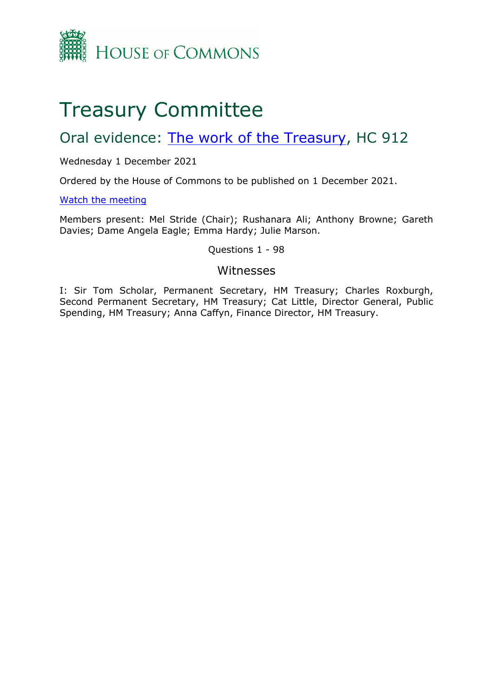

# Treasury Committee

# Oral evidence: [The](https://committees.parliament.uk/work/1641/the-work-of-the-treasury/) [work](https://committees.parliament.uk/work/1641/the-work-of-the-treasury/) [of](https://committees.parliament.uk/work/1641/the-work-of-the-treasury/) [the](https://committees.parliament.uk/work/1641/the-work-of-the-treasury/) [Treasury](https://committees.parliament.uk/work/1641/the-work-of-the-treasury/), HC 912

Wednesday 1 December 2021

Ordered by the House of Commons to be published on 1 December 2021.

[Watch](https://www.parliamentlive.tv/Event/Index/290f724f-344c-406b-9ed3-589af7d46723) [the](https://www.parliamentlive.tv/Event/Index/290f724f-344c-406b-9ed3-589af7d46723) [meeting](https://www.parliamentlive.tv/Event/Index/290f724f-344c-406b-9ed3-589af7d46723)

Members present: Mel Stride (Chair); Rushanara Ali; Anthony Browne; Gareth Davies; Dame Angela Eagle; Emma Hardy; Julie Marson.

Questions 1 - 98

### Witnesses

I: Sir Tom Scholar, Permanent Secretary, HM Treasury; Charles Roxburgh, Second Permanent Secretary, HM Treasury; Cat Little, Director General, Public Spending, HM Treasury; Anna Caffyn, Finance Director, HM Treasury.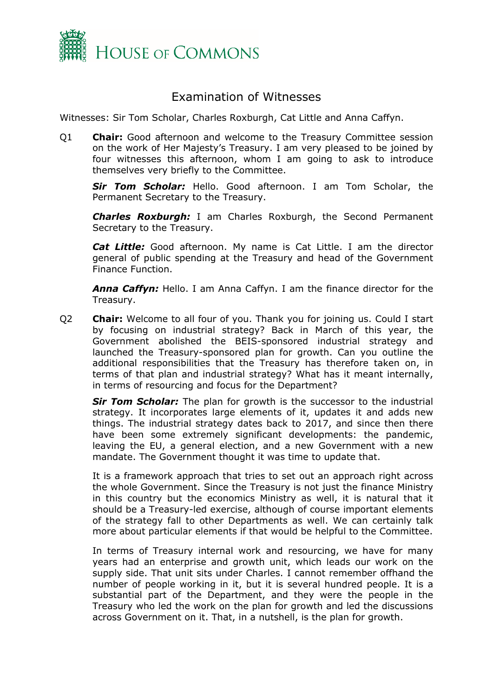

## Examination of Witnesses

Witnesses: Sir Tom Scholar, Charles Roxburgh, Cat Little and Anna Caffyn.

Q1 **Chair:** Good afternoon and welcome to the Treasury Committee session on the work of Her Majesty's Treasury. I am very pleased to be joined by four witnesses this afternoon, whom I am going to ask to introduce themselves very briefly to the Committee.

*Sir Tom Scholar:* Hello. Good afternoon. I am Tom Scholar, the Permanent Secretary to the Treasury.

*Charles Roxburgh:* I am Charles Roxburgh, the Second Permanent Secretary to the Treasury.

*Cat Little:* Good afternoon. My name is Cat Little. I am the director general of public spending at the Treasury and head of the Government Finance Function.

*Anna Caffyn:* Hello. I am Anna Caffyn. I am the finance director for the Treasury.

Q2 **Chair:** Welcome to all four of you. Thank you for joining us. Could I start by focusing on industrial strategy? Back in March of this year, the Government abolished the BEIS-sponsored industrial strategy and launched the Treasury-sponsored plan for growth. Can you outline the additional responsibilities that the Treasury has therefore taken on, in terms of that plan and industrial strategy? What has it meant internally, in terms of resourcing and focus for the Department?

*Sir Tom Scholar:* The plan for growth is the successor to the industrial strategy. It incorporates large elements of it, updates it and adds new things. The industrial strategy dates back to 2017, and since then there have been some extremely significant developments: the pandemic, leaving the EU, a general election, and a new Government with a new mandate. The Government thought it was time to update that.

It is a framework approach that tries to set out an approach right across the whole Government. Since the Treasury is not just the finance Ministry in this country but the economics Ministry as well, it is natural that it should be a Treasury-led exercise, although of course important elements of the strategy fall to other Departments as well. We can certainly talk more about particular elements if that would be helpful to the Committee.

In terms of Treasury internal work and resourcing, we have for many years had an enterprise and growth unit, which leads our work on the supply side. That unit sits under Charles. I cannot remember offhand the number of people working in it, but it is several hundred people. It is a substantial part of the Department, and they were the people in the Treasury who led the work on the plan for growth and led the discussions across Government on it. That, in a nutshell, is the plan for growth.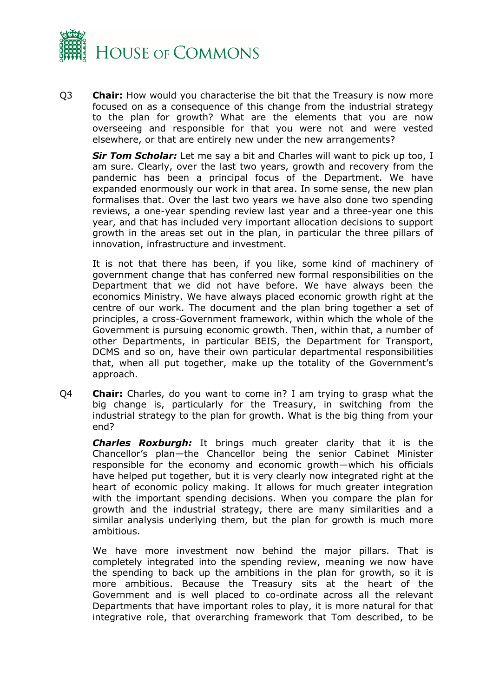

Q3 **Chair:** How would you characterise the bit that the Treasury is now more focused on as a consequence of this change from the industrial strategy to the plan for growth? What are the elements that you are now overseeing and responsible for that you were not and were vested elsewhere, or that are entirely new under the new arrangements?

*Sir Tom Scholar:* Let me say a bit and Charles will want to pick up too, I am sure. Clearly, over the last two years, growth and recovery from the pandemic has been a principal focus of the Department. We have expanded enormously our work in that area. In some sense, the new plan formalises that. Over the last two years we have also done two spending reviews, a one-year spending review last year and a three-year one this year, and that has included very important allocation decisions to support growth in the areas set out in the plan, in particular the three pillars of innovation, infrastructure and investment.

It is not that there has been, if you like, some kind of machinery of government change that has conferred new formal responsibilities on the Department that we did not have before. We have always been the economics Ministry. We have always placed economic growth right at the centre of our work. The document and the plan bring together a set of principles, a cross-Government framework, within which the whole of the Government is pursuing economic growth. Then, within that, a number of other Departments, in particular BEIS, the Department for Transport, DCMS and so on, have their own particular departmental responsibilities that, when all put together, make up the totality of the Government's approach.

Q4 **Chair:** Charles, do you want to come in? I am trying to grasp what the big change is, particularly for the Treasury, in switching from the industrial strategy to the plan for growth. What is the big thing from your end?

*Charles Roxburgh:* It brings much greater clarity that it is the Chancellor's plan—the Chancellor being the senior Cabinet Minister responsible for the economy and economic growth—which his officials have helped put together, but it is very clearly now integrated right at the heart of economic policy making. It allows for much greater integration with the important spending decisions. When you compare the plan for growth and the industrial strategy, there are many similarities and a similar analysis underlying them, but the plan for growth is much more ambitious.

We have more investment now behind the major pillars. That is completely integrated into the spending review, meaning we now have the spending to back up the ambitions in the plan for growth, so it is more ambitious. Because the Treasury sits at the heart of the Government and is well placed to co-ordinate across all the relevant Departments that have important roles to play, it is more natural for that integrative role, that overarching framework that Tom described, to be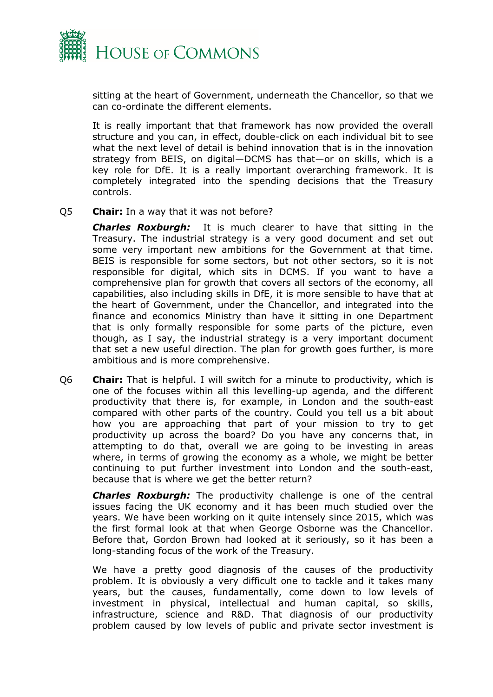

sitting at the heart of Government, underneath the Chancellor, so that we can co-ordinate the different elements.

It is really important that that framework has now provided the overall structure and you can, in effect, double-click on each individual bit to see what the next level of detail is behind innovation that is in the innovation strategy from BEIS, on digital—DCMS has that—or on skills, which is a key role for DfE. It is a really important overarching framework. It is completely integrated into the spending decisions that the Treasury controls.

Q5 **Chair:** In a way that it was not before?

*Charles Roxburgh:* It is much clearer to have that sitting in the Treasury. The industrial strategy is a very good document and set out some very important new ambitions for the Government at that time. BEIS is responsible for some sectors, but not other sectors, so it is not responsible for digital, which sits in DCMS. If you want to have a comprehensive plan for growth that covers all sectors of the economy, all capabilities, also including skills in DfE, it is more sensible to have that at the heart of Government, under the Chancellor, and integrated into the finance and economics Ministry than have it sitting in one Department that is only formally responsible for some parts of the picture, even though, as I say, the industrial strategy is a very important document that set a new useful direction. The plan for growth goes further, is more ambitious and is more comprehensive.

Q6 **Chair:** That is helpful. I will switch for a minute to productivity, which is one of the focuses within all this levelling-up agenda, and the different productivity that there is, for example, in London and the south-east compared with other parts of the country. Could you tell us a bit about how you are approaching that part of your mission to try to get productivity up across the board? Do you have any concerns that, in attempting to do that, overall we are going to be investing in areas where, in terms of growing the economy as a whole, we might be better continuing to put further investment into London and the south-east, because that is where we get the better return?

*Charles Roxburgh:* The productivity challenge is one of the central issues facing the UK economy and it has been much studied over the years. We have been working on it quite intensely since 2015, which was the first formal look at that when George Osborne was the Chancellor. Before that, Gordon Brown had looked at it seriously, so it has been a long-standing focus of the work of the Treasury.

We have a pretty good diagnosis of the causes of the productivity problem. It is obviously a very difficult one to tackle and it takes many years, but the causes, fundamentally, come down to low levels of investment in physical, intellectual and human capital, so skills, infrastructure, science and R&D. That diagnosis of our productivity problem caused by low levels of public and private sector investment is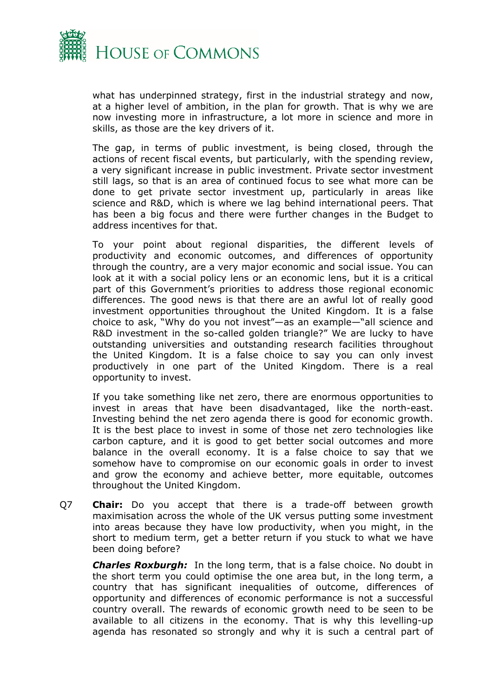

what has underpinned strategy, first in the industrial strategy and now, at a higher level of ambition, in the plan for growth. That is why we are now investing more in infrastructure, a lot more in science and more in skills, as those are the key drivers of it.

The gap, in terms of public investment, is being closed, through the actions of recent fiscal events, but particularly, with the spending review, a very significant increase in public investment. Private sector investment still lags, so that is an area of continued focus to see what more can be done to get private sector investment up, particularly in areas like science and R&D, which is where we lag behind international peers. That has been a big focus and there were further changes in the Budget to address incentives for that.

To your point about regional disparities, the different levels of productivity and economic outcomes, and differences of opportunity through the country, are a very major economic and social issue. You can look at it with a social policy lens or an economic lens, but it is a critical part of this Government's priorities to address those regional economic differences. The good news is that there are an awful lot of really good investment opportunities throughout the United Kingdom. It is a false choice to ask, "Why do you not invest"—as an example—"all science and R&D investment in the so-called golden triangle?" We are lucky to have outstanding universities and outstanding research facilities throughout the United Kingdom. It is a false choice to say you can only invest productively in one part of the United Kingdom. There is a real opportunity to invest.

If you take something like net zero, there are enormous opportunities to invest in areas that have been disadvantaged, like the north-east. Investing behind the net zero agenda there is good for economic growth. It is the best place to invest in some of those net zero technologies like carbon capture, and it is good to get better social outcomes and more balance in the overall economy. It is a false choice to say that we somehow have to compromise on our economic goals in order to invest and grow the economy and achieve better, more equitable, outcomes throughout the United Kingdom.

Q7 **Chair:** Do you accept that there is a trade-off between growth maximisation across the whole of the UK versus putting some investment into areas because they have low productivity, when you might, in the short to medium term, get a better return if you stuck to what we have been doing before?

*Charles Roxburgh:* In the long term, that is a false choice. No doubt in the short term you could optimise the one area but, in the long term, a country that has significant inequalities of outcome, differences of opportunity and differences of economic performance is not a successful country overall. The rewards of economic growth need to be seen to be available to all citizens in the economy. That is why this levelling-up agenda has resonated so strongly and why it is such a central part of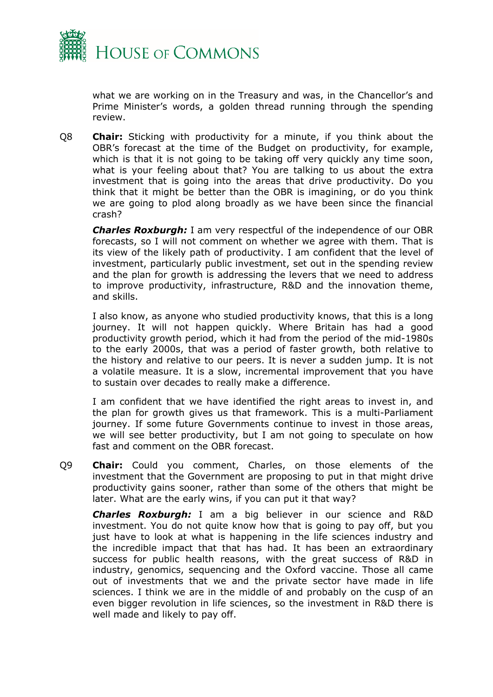

what we are working on in the Treasury and was, in the Chancellor's and Prime Minister's words, a golden thread running through the spending review.

Q8 **Chair:** Sticking with productivity for a minute, if you think about the OBR's forecast at the time of the Budget on productivity, for example, which is that it is not going to be taking off very quickly any time soon, what is your feeling about that? You are talking to us about the extra investment that is going into the areas that drive productivity. Do you think that it might be better than the OBR is imagining, or do you think we are going to plod along broadly as we have been since the financial crash?

*Charles Roxburgh:* I am very respectful of the independence of our OBR forecasts, so I will not comment on whether we agree with them. That is its view of the likely path of productivity. I am confident that the level of investment, particularly public investment, set out in the spending review and the plan for growth is addressing the levers that we need to address to improve productivity, infrastructure, R&D and the innovation theme, and skills.

I also know, as anyone who studied productivity knows, that this is a long journey. It will not happen quickly. Where Britain has had a good productivity growth period, which it had from the period of the mid-1980s to the early 2000s, that was a period of faster growth, both relative to the history and relative to our peers. It is never a sudden jump. It is not a volatile measure. It is a slow, incremental improvement that you have to sustain over decades to really make a difference.

I am confident that we have identified the right areas to invest in, and the plan for growth gives us that framework. This is a multi-Parliament journey. If some future Governments continue to invest in those areas, we will see better productivity, but I am not going to speculate on how fast and comment on the OBR forecast.

Q9 **Chair:** Could you comment, Charles, on those elements of the investment that the Government are proposing to put in that might drive productivity gains sooner, rather than some of the others that might be later. What are the early wins, if you can put it that way?

*Charles Roxburgh:* I am a big believer in our science and R&D investment. You do not quite know how that is going to pay off, but you just have to look at what is happening in the life sciences industry and the incredible impact that that has had. It has been an extraordinary success for public health reasons, with the great success of R&D in industry, genomics, sequencing and the Oxford vaccine. Those all came out of investments that we and the private sector have made in life sciences. I think we are in the middle of and probably on the cusp of an even bigger revolution in life sciences, so the investment in R&D there is well made and likely to pay off.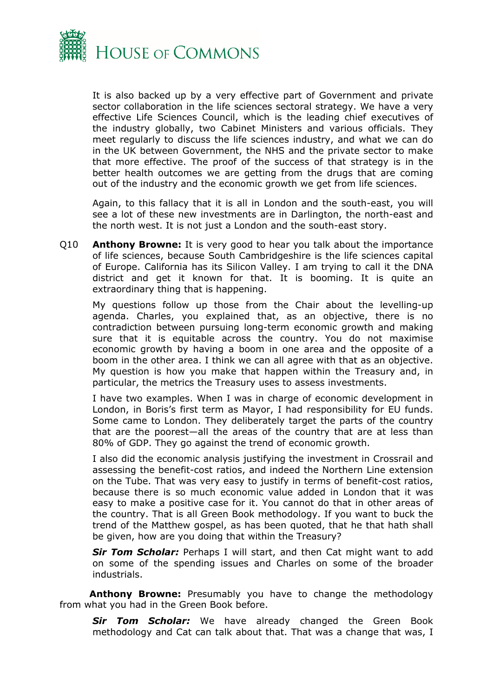

It is also backed up by a very effective part of Government and private sector collaboration in the life sciences sectoral strategy. We have a very effective Life Sciences Council, which is the leading chief executives of the industry globally, two Cabinet Ministers and various officials. They meet regularly to discuss the life sciences industry, and what we can do in the UK between Government, the NHS and the private sector to make that more effective. The proof of the success of that strategy is in the better health outcomes we are getting from the drugs that are coming out of the industry and the economic growth we get from life sciences.

Again, to this fallacy that it is all in London and the south-east, you will see a lot of these new investments are in Darlington, the north-east and the north west. It is not just a London and the south-east story.

Q10 **Anthony Browne:** It is very good to hear you talk about the importance of life sciences, because South Cambridgeshire is the life sciences capital of Europe. California has its Silicon Valley. I am trying to call it the DNA district and get it known for that. It is booming. It is quite an extraordinary thing that is happening.

My questions follow up those from the Chair about the levelling-up agenda. Charles, you explained that, as an objective, there is no contradiction between pursuing long-term economic growth and making sure that it is equitable across the country. You do not maximise economic growth by having a boom in one area and the opposite of a boom in the other area. I think we can all agree with that as an objective. My question is how you make that happen within the Treasury and, in particular, the metrics the Treasury uses to assess investments.

I have two examples. When I was in charge of economic development in London, in Boris's first term as Mayor, I had responsibility for EU funds. Some came to London. They deliberately target the parts of the country that are the poorest—all the areas of the country that are at less than 80% of GDP. They go against the trend of economic growth.

I also did the economic analysis justifying the investment in Crossrail and assessing the benefit-cost ratios, and indeed the Northern Line extension on the Tube. That was very easy to justify in terms of benefit-cost ratios, because there is so much economic value added in London that it was easy to make a positive case for it. You cannot do that in other areas of the country. That is all Green Book methodology. If you want to buck the trend of the Matthew gospel, as has been quoted, that he that hath shall be given, how are you doing that within the Treasury?

*Sir Tom Scholar:* Perhaps I will start, and then Cat might want to add on some of the spending issues and Charles on some of the broader industrials.

**Anthony Browne:** Presumably you have to change the methodology from what you had in the Green Book before.

*Sir Tom Scholar:* We have already changed the Green Book methodology and Cat can talk about that. That was a change that was, I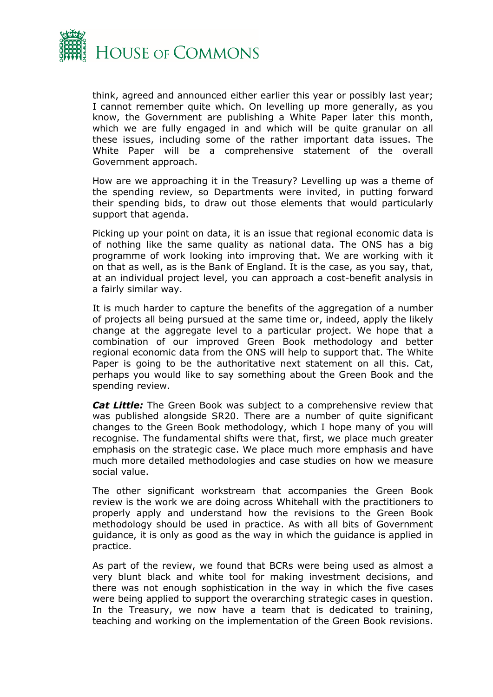

think, agreed and announced either earlier this year or possibly last year; I cannot remember quite which. On levelling up more generally, as you know, the Government are publishing a White Paper later this month, which we are fully engaged in and which will be quite granular on all these issues, including some of the rather important data issues. The White Paper will be a comprehensive statement of the overall Government approach.

How are we approaching it in the Treasury? Levelling up was a theme of the spending review, so Departments were invited, in putting forward their spending bids, to draw out those elements that would particularly support that agenda.

Picking up your point on data, it is an issue that regional economic data is of nothing like the same quality as national data. The ONS has a big programme of work looking into improving that. We are working with it on that as well, as is the Bank of England. It is the case, as you say, that, at an individual project level, you can approach a cost-benefit analysis in a fairly similar way.

It is much harder to capture the benefits of the aggregation of a number of projects all being pursued at the same time or, indeed, apply the likely change at the aggregate level to a particular project. We hope that a combination of our improved Green Book methodology and better regional economic data from the ONS will help to support that. The White Paper is going to be the authoritative next statement on all this. Cat, perhaps you would like to say something about the Green Book and the spending review.

*Cat Little:* The Green Book was subject to a comprehensive review that was published alongside SR20. There are a number of quite significant changes to the Green Book methodology, which I hope many of you will recognise. The fundamental shifts were that, first, we place much greater emphasis on the strategic case. We place much more emphasis and have much more detailed methodologies and case studies on how we measure social value.

The other significant workstream that accompanies the Green Book review is the work we are doing across Whitehall with the practitioners to properly apply and understand how the revisions to the Green Book methodology should be used in practice. As with all bits of Government guidance, it is only as good as the way in which the guidance is applied in practice.

As part of the review, we found that BCRs were being used as almost a very blunt black and white tool for making investment decisions, and there was not enough sophistication in the way in which the five cases were being applied to support the overarching strategic cases in question. In the Treasury, we now have a team that is dedicated to training, teaching and working on the implementation of the Green Book revisions.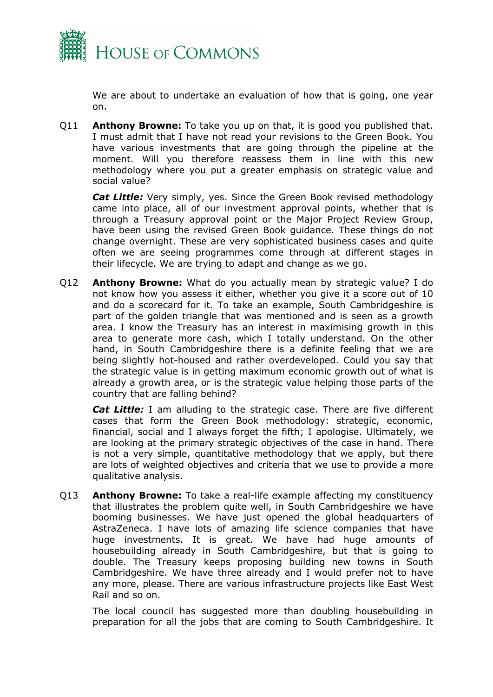

We are about to undertake an evaluation of how that is going, one year on.

Q11 **Anthony Browne:** To take you up on that, it is good you published that. I must admit that I have not read your revisions to the Green Book. You have various investments that are going through the pipeline at the moment. Will you therefore reassess them in line with this new methodology where you put a greater emphasis on strategic value and social value?

*Cat Little:* Very simply, yes. Since the Green Book revised methodology came into place, all of our investment approval points, whether that is through a Treasury approval point or the Major Project Review Group, have been using the revised Green Book guidance. These things do not change overnight. These are very sophisticated business cases and quite often we are seeing programmes come through at different stages in their lifecycle. We are trying to adapt and change as we go.

Q12 **Anthony Browne:** What do you actually mean by strategic value? I do not know how you assess it either, whether you give it a score out of 10 and do a scorecard for it. To take an example, South Cambridgeshire is part of the golden triangle that was mentioned and is seen as a growth area. I know the Treasury has an interest in maximising growth in this area to generate more cash, which I totally understand. On the other hand, in South Cambridgeshire there is a definite feeling that we are being slightly hot-housed and rather overdeveloped. Could you say that the strategic value is in getting maximum economic growth out of what is already a growth area, or is the strategic value helping those parts of the country that are falling behind?

*Cat Little:* I am alluding to the strategic case. There are five different cases that form the Green Book methodology: strategic, economic, financial, social and I always forget the fifth; I apologise. Ultimately, we are looking at the primary strategic objectives of the case in hand. There is not a very simple, quantitative methodology that we apply, but there are lots of weighted objectives and criteria that we use to provide a more qualitative analysis.

Q13 **Anthony Browne:** To take a real-life example affecting my constituency that illustrates the problem quite well, in South Cambridgeshire we have booming businesses. We have just opened the global headquarters of AstraZeneca. I have lots of amazing life science companies that have huge investments. It is great. We have had huge amounts of housebuilding already in South Cambridgeshire, but that is going to double. The Treasury keeps proposing building new towns in South Cambridgeshire. We have three already and I would prefer not to have any more, please. There are various infrastructure projects like East West Rail and so on.

The local council has suggested more than doubling housebuilding in preparation for all the jobs that are coming to South Cambridgeshire. It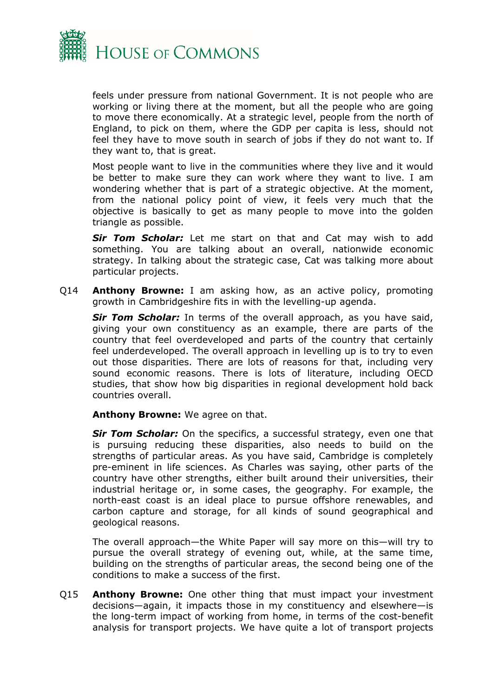

feels under pressure from national Government. It is not people who are working or living there at the moment, but all the people who are going to move there economically. At a strategic level, people from the north of England, to pick on them, where the GDP per capita is less, should not feel they have to move south in search of jobs if they do not want to. If they want to, that is great.

Most people want to live in the communities where they live and it would be better to make sure they can work where they want to live. I am wondering whether that is part of a strategic objective. At the moment, from the national policy point of view, it feels very much that the objective is basically to get as many people to move into the golden triangle as possible.

*Sir Tom Scholar:* Let me start on that and Cat may wish to add something. You are talking about an overall, nationwide economic strategy. In talking about the strategic case, Cat was talking more about particular projects.

Q14 **Anthony Browne:** I am asking how, as an active policy, promoting growth in Cambridgeshire fits in with the levelling-up agenda.

*Sir Tom Scholar:* In terms of the overall approach, as you have said, giving your own constituency as an example, there are parts of the country that feel overdeveloped and parts of the country that certainly feel underdeveloped. The overall approach in levelling up is to try to even out those disparities. There are lots of reasons for that, including very sound economic reasons. There is lots of literature, including OECD studies, that show how big disparities in regional development hold back countries overall.

**Anthony Browne:** We agree on that.

*Sir Tom Scholar:* On the specifics, a successful strategy, even one that is pursuing reducing these disparities, also needs to build on the strengths of particular areas. As you have said, Cambridge is completely pre-eminent in life sciences. As Charles was saying, other parts of the country have other strengths, either built around their universities, their industrial heritage or, in some cases, the geography. For example, the north-east coast is an ideal place to pursue offshore renewables, and carbon capture and storage, for all kinds of sound geographical and geological reasons.

The overall approach—the White Paper will say more on this—will try to pursue the overall strategy of evening out, while, at the same time, building on the strengths of particular areas, the second being one of the conditions to make a success of the first.

Q15 **Anthony Browne:** One other thing that must impact your investment decisions—again, it impacts those in my constituency and elsewhere—is the long-term impact of working from home, in terms of the cost-benefit analysis for transport projects. We have quite a lot of transport projects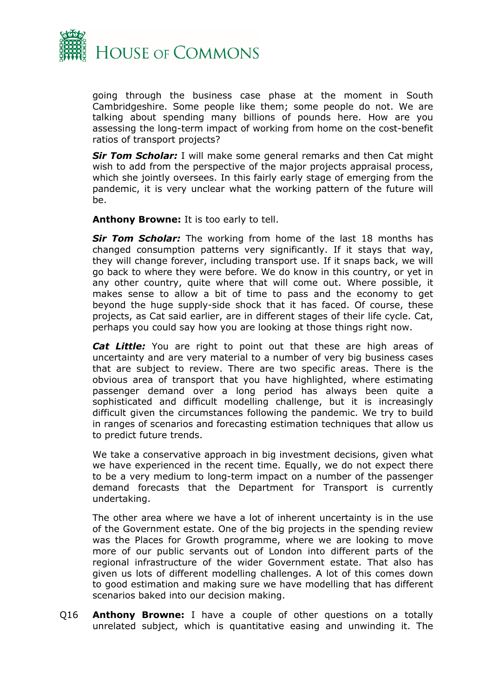

going through the business case phase at the moment in South Cambridgeshire. Some people like them; some people do not. We are talking about spending many billions of pounds here. How are you assessing the long-term impact of working from home on the cost-benefit ratios of transport projects?

*Sir Tom Scholar:* I will make some general remarks and then Cat might wish to add from the perspective of the major projects appraisal process, which she jointly oversees. In this fairly early stage of emerging from the pandemic, it is very unclear what the working pattern of the future will be.

**Anthony Browne:** It is too early to tell.

*Sir Tom Scholar:* The working from home of the last 18 months has changed consumption patterns very significantly. If it stays that way, they will change forever, including transport use. If it snaps back, we will go back to where they were before. We do know in this country, or yet in any other country, quite where that will come out. Where possible, it makes sense to allow a bit of time to pass and the economy to get beyond the huge supply-side shock that it has faced. Of course, these projects, as Cat said earlier, are in different stages of their life cycle. Cat, perhaps you could say how you are looking at those things right now.

*Cat Little:* You are right to point out that these are high areas of uncertainty and are very material to a number of very big business cases that are subject to review. There are two specific areas. There is the obvious area of transport that you have highlighted, where estimating passenger demand over a long period has always been quite a sophisticated and difficult modelling challenge, but it is increasingly difficult given the circumstances following the pandemic. We try to build in ranges of scenarios and forecasting estimation techniques that allow us to predict future trends.

We take a conservative approach in big investment decisions, given what we have experienced in the recent time. Equally, we do not expect there to be a very medium to long-term impact on a number of the passenger demand forecasts that the Department for Transport is currently undertaking.

The other area where we have a lot of inherent uncertainty is in the use of the Government estate. One of the big projects in the spending review was the Places for Growth programme, where we are looking to move more of our public servants out of London into different parts of the regional infrastructure of the wider Government estate. That also has given us lots of different modelling challenges. A lot of this comes down to good estimation and making sure we have modelling that has different scenarios baked into our decision making.

Q16 **Anthony Browne:** I have a couple of other questions on a totally unrelated subject, which is quantitative easing and unwinding it. The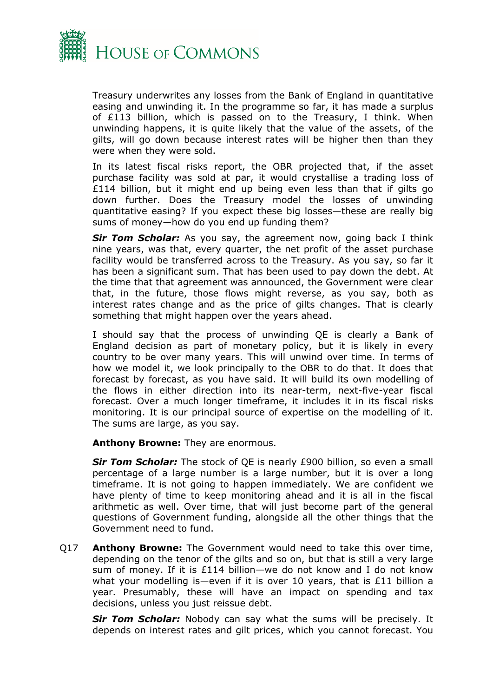

Treasury underwrites any losses from the Bank of England in quantitative easing and unwinding it. In the programme so far, it has made a surplus of £113 billion, which is passed on to the Treasury, I think. When unwinding happens, it is quite likely that the value of the assets, of the gilts, will go down because interest rates will be higher then than they were when they were sold.

In its latest fiscal risks report, the OBR projected that, if the asset purchase facility was sold at par, it would crystallise a trading loss of £114 billion, but it might end up being even less than that if gilts go down further. Does the Treasury model the losses of unwinding quantitative easing? If you expect these big losses—these are really big sums of money—how do you end up funding them?

*Sir Tom Scholar:* As you say, the agreement now, going back I think nine years, was that, every quarter, the net profit of the asset purchase facility would be transferred across to the Treasury. As you say, so far it has been a significant sum. That has been used to pay down the debt. At the time that that agreement was announced, the Government were clear that, in the future, those flows might reverse, as you say, both as interest rates change and as the price of gilts changes. That is clearly something that might happen over the years ahead.

I should say that the process of unwinding QE is clearly a Bank of England decision as part of monetary policy, but it is likely in every country to be over many years. This will unwind over time. In terms of how we model it, we look principally to the OBR to do that. It does that forecast by forecast, as you have said. It will build its own modelling of the flows in either direction into its near-term, next-five-year fiscal forecast. Over a much longer timeframe, it includes it in its fiscal risks monitoring. It is our principal source of expertise on the modelling of it. The sums are large, as you say.

**Anthony Browne:** They are enormous.

*Sir Tom Scholar:* The stock of QE is nearly £900 billion, so even a small percentage of a large number is a large number, but it is over a long timeframe. It is not going to happen immediately. We are confident we have plenty of time to keep monitoring ahead and it is all in the fiscal arithmetic as well. Over time, that will just become part of the general questions of Government funding, alongside all the other things that the Government need to fund.

Q17 **Anthony Browne:** The Government would need to take this over time, depending on the tenor of the gilts and so on, but that is still a very large sum of money. If it is £114 billion—we do not know and I do not know what your modelling is—even if it is over 10 years, that is £11 billion a year. Presumably, these will have an impact on spending and tax decisions, unless you just reissue debt.

*Sir Tom Scholar:* Nobody can say what the sums will be precisely. It depends on interest rates and gilt prices, which you cannot forecast. You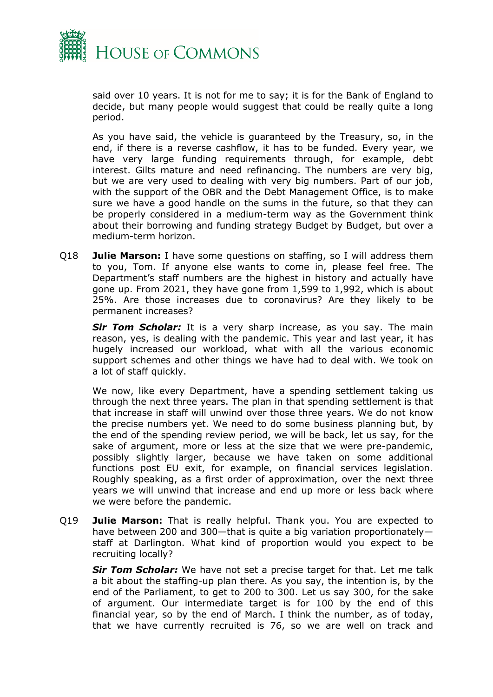

said over 10 years. It is not for me to say; it is for the Bank of England to decide, but many people would suggest that could be really quite a long period.

As you have said, the vehicle is guaranteed by the Treasury, so, in the end, if there is a reverse cashflow, it has to be funded. Every year, we have very large funding requirements through, for example, debt interest. Gilts mature and need refinancing. The numbers are very big, but we are very used to dealing with very big numbers. Part of our job, with the support of the OBR and the Debt Management Office, is to make sure we have a good handle on the sums in the future, so that they can be properly considered in a medium-term way as the Government think about their borrowing and funding strategy Budget by Budget, but over a medium-term horizon.

Q18 **Julie Marson:** I have some questions on staffing, so I will address them to you, Tom. If anyone else wants to come in, please feel free. The Department's staff numbers are the highest in history and actually have gone up. From 2021, they have gone from 1,599 to 1,992, which is about 25%. Are those increases due to coronavirus? Are they likely to be permanent increases?

**Sir Tom Scholar:** It is a very sharp increase, as you say. The main reason, yes, is dealing with the pandemic. This year and last year, it has hugely increased our workload, what with all the various economic support schemes and other things we have had to deal with. We took on a lot of staff quickly.

We now, like every Department, have a spending settlement taking us through the next three years. The plan in that spending settlement is that that increase in staff will unwind over those three years. We do not know the precise numbers yet. We need to do some business planning but, by the end of the spending review period, we will be back, let us say, for the sake of argument, more or less at the size that we were pre-pandemic, possibly slightly larger, because we have taken on some additional functions post EU exit, for example, on financial services legislation. Roughly speaking, as a first order of approximation, over the next three years we will unwind that increase and end up more or less back where we were before the pandemic.

Q19 **Julie Marson:** That is really helpful. Thank you. You are expected to have between 200 and 300—that is quite a big variation proportionately staff at Darlington. What kind of proportion would you expect to be recruiting locally?

*Sir Tom Scholar:* We have not set a precise target for that. Let me talk a bit about the staffing-up plan there. As you say, the intention is, by the end of the Parliament, to get to 200 to 300. Let us say 300, for the sake of argument. Our intermediate target is for 100 by the end of this financial year, so by the end of March. I think the number, as of today, that we have currently recruited is 76, so we are well on track and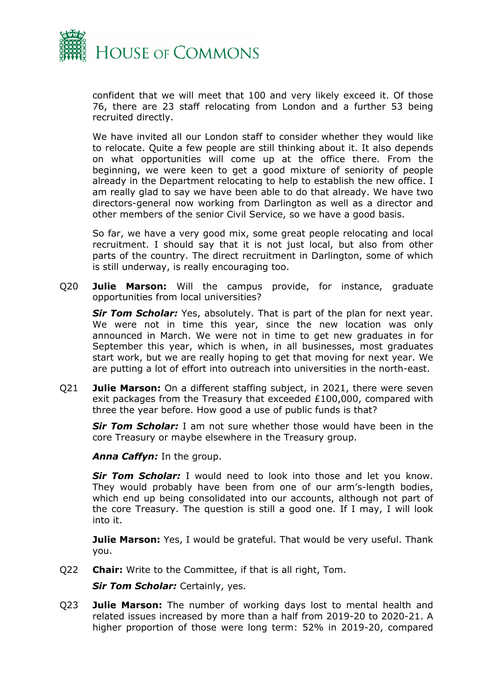

confident that we will meet that 100 and very likely exceed it. Of those 76, there are 23 staff relocating from London and a further 53 being recruited directly.

We have invited all our London staff to consider whether they would like to relocate. Quite a few people are still thinking about it. It also depends on what opportunities will come up at the office there. From the beginning, we were keen to get a good mixture of seniority of people already in the Department relocating to help to establish the new office. I am really glad to say we have been able to do that already. We have two directors-general now working from Darlington as well as a director and other members of the senior Civil Service, so we have a good basis.

So far, we have a very good mix, some great people relocating and local recruitment. I should say that it is not just local, but also from other parts of the country. The direct recruitment in Darlington, some of which is still underway, is really encouraging too.

Q20 **Julie Marson:** Will the campus provide, for instance, graduate opportunities from local universities?

*Sir Tom Scholar:* Yes, absolutely. That is part of the plan for next year. We were not in time this year, since the new location was only announced in March. We were not in time to get new graduates in for September this year, which is when, in all businesses, most graduates start work, but we are really hoping to get that moving for next year. We are putting a lot of effort into outreach into universities in the north-east.

Q21 **Julie Marson:** On a different staffing subject, in 2021, there were seven exit packages from the Treasury that exceeded £100,000, compared with three the year before. How good a use of public funds is that?

*Sir Tom Scholar:* I am not sure whether those would have been in the core Treasury or maybe elsewhere in the Treasury group.

*Anna Caffyn:* In the group.

*Sir Tom Scholar:* I would need to look into those and let you know. They would probably have been from one of our arm's-length bodies, which end up being consolidated into our accounts, although not part of the core Treasury. The question is still a good one. If I may, I will look into it.

**Julie Marson:** Yes, I would be grateful. That would be very useful. Thank you.

Q22 **Chair:** Write to the Committee, if that is all right, Tom.

*Sir Tom Scholar:* Certainly, yes.

Q23 **Julie Marson:** The number of working days lost to mental health and related issues increased by more than a half from 2019-20 to 2020-21. A higher proportion of those were long term: 52% in 2019-20, compared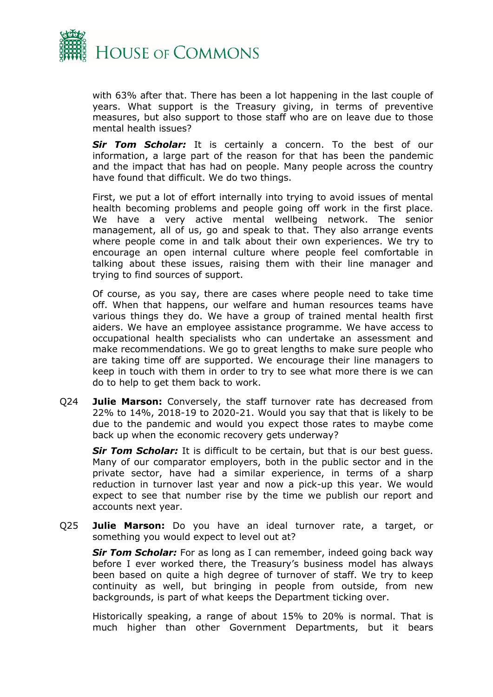

with 63% after that. There has been a lot happening in the last couple of years. What support is the Treasury giving, in terms of preventive measures, but also support to those staff who are on leave due to those mental health issues?

*Sir Tom Scholar:* It is certainly a concern. To the best of our information, a large part of the reason for that has been the pandemic and the impact that has had on people. Many people across the country have found that difficult. We do two things.

First, we put a lot of effort internally into trying to avoid issues of mental health becoming problems and people going off work in the first place. We have a very active mental wellbeing network. The senior management, all of us, go and speak to that. They also arrange events where people come in and talk about their own experiences. We try to encourage an open internal culture where people feel comfortable in talking about these issues, raising them with their line manager and trying to find sources of support.

Of course, as you say, there are cases where people need to take time off. When that happens, our welfare and human resources teams have various things they do. We have a group of trained mental health first aiders. We have an employee assistance programme. We have access to occupational health specialists who can undertake an assessment and make recommendations. We go to great lengths to make sure people who are taking time off are supported. We encourage their line managers to keep in touch with them in order to try to see what more there is we can do to help to get them back to work.

Q24 **Julie Marson:** Conversely, the staff turnover rate has decreased from 22% to 14%, 2018-19 to 2020-21. Would you say that that is likely to be due to the pandemic and would you expect those rates to maybe come back up when the economic recovery gets underway?

*Sir Tom Scholar:* It is difficult to be certain, but that is our best guess. Many of our comparator employers, both in the public sector and in the private sector, have had a similar experience, in terms of a sharp reduction in turnover last year and now a pick-up this year. We would expect to see that number rise by the time we publish our report and accounts next year.

Q25 **Julie Marson:** Do you have an ideal turnover rate, a target, or something you would expect to level out at?

**Sir Tom Scholar:** For as long as I can remember, indeed going back way before I ever worked there, the Treasury's business model has always been based on quite a high degree of turnover of staff. We try to keep continuity as well, but bringing in people from outside, from new backgrounds, is part of what keeps the Department ticking over.

Historically speaking, a range of about 15% to 20% is normal. That is much higher than other Government Departments, but it bears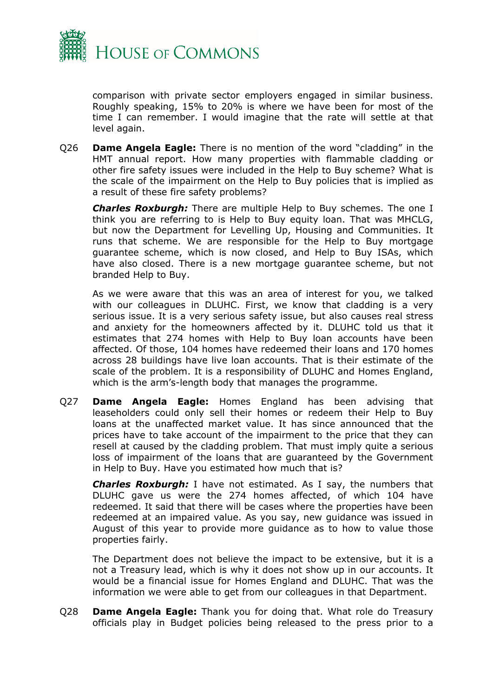

comparison with private sector employers engaged in similar business. Roughly speaking, 15% to 20% is where we have been for most of the time I can remember. I would imagine that the rate will settle at that level again.

Q26 **Dame Angela Eagle:** There is no mention of the word "cladding" in the HMT annual report. How many properties with flammable cladding or other fire safety issues were included in the Help to Buy scheme? What is the scale of the impairment on the Help to Buy policies that is implied as a result of these fire safety problems?

*Charles Roxburgh:* There are multiple Help to Buy schemes. The one I think you are referring to is Help to Buy equity loan. That was MHCLG, but now the Department for Levelling Up, Housing and Communities. It runs that scheme. We are responsible for the Help to Buy mortgage guarantee scheme, which is now closed, and Help to Buy ISAs, which have also closed. There is a new mortgage guarantee scheme, but not branded Help to Buy.

As we were aware that this was an area of interest for you, we talked with our colleagues in DLUHC. First, we know that cladding is a very serious issue. It is a very serious safety issue, but also causes real stress and anxiety for the homeowners affected by it. DLUHC told us that it estimates that 274 homes with Help to Buy loan accounts have been affected. Of those, 104 homes have redeemed their loans and 170 homes across 28 buildings have live loan accounts. That is their estimate of the scale of the problem. It is a responsibility of DLUHC and Homes England, which is the arm's-length body that manages the programme.

Q27 **Dame Angela Eagle:** Homes England has been advising that leaseholders could only sell their homes or redeem their Help to Buy loans at the unaffected market value. It has since announced that the prices have to take account of the impairment to the price that they can resell at caused by the cladding problem. That must imply quite a serious loss of impairment of the loans that are guaranteed by the Government in Help to Buy. Have you estimated how much that is?

*Charles Roxburgh:* I have not estimated. As I say, the numbers that DLUHC gave us were the 274 homes affected, of which 104 have redeemed. It said that there will be cases where the properties have been redeemed at an impaired value. As you say, new guidance was issued in August of this year to provide more guidance as to how to value those properties fairly.

The Department does not believe the impact to be extensive, but it is a not a Treasury lead, which is why it does not show up in our accounts. It would be a financial issue for Homes England and DLUHC. That was the information we were able to get from our colleagues in that Department.

Q28 **Dame Angela Eagle:** Thank you for doing that. What role do Treasury officials play in Budget policies being released to the press prior to a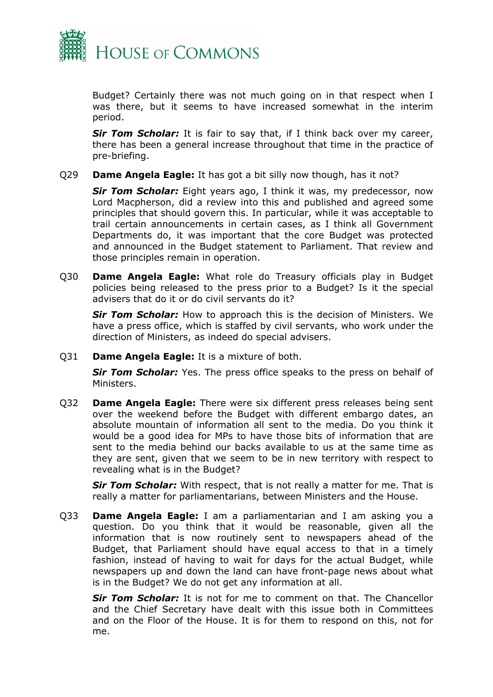

Budget? Certainly there was not much going on in that respect when I was there, but it seems to have increased somewhat in the interim period.

*Sir Tom Scholar:* It is fair to say that, if I think back over my career, there has been a general increase throughout that time in the practice of pre-briefing.

#### Q29 **Dame Angela Eagle:** It has got a bit silly now though, has it not?

*Sir Tom Scholar:* Eight years ago, I think it was, my predecessor, now Lord Macpherson, did a review into this and published and agreed some principles that should govern this. In particular, while it was acceptable to trail certain announcements in certain cases, as I think all Government Departments do, it was important that the core Budget was protected and announced in the Budget statement to Parliament. That review and those principles remain in operation.

Q30 **Dame Angela Eagle:** What role do Treasury officials play in Budget policies being released to the press prior to a Budget? Is it the special advisers that do it or do civil servants do it?

*Sir Tom Scholar:* How to approach this is the decision of Ministers. We have a press office, which is staffed by civil servants, who work under the direction of Ministers, as indeed do special advisers.

Q31 **Dame Angela Eagle:** It is a mixture of both.

*Sir Tom Scholar:* Yes. The press office speaks to the press on behalf of Ministers.

Q32 **Dame Angela Eagle:** There were six different press releases being sent over the weekend before the Budget with different embargo dates, an absolute mountain of information all sent to the media. Do you think it would be a good idea for MPs to have those bits of information that are sent to the media behind our backs available to us at the same time as they are sent, given that we seem to be in new territory with respect to revealing what is in the Budget?

*Sir Tom Scholar:* With respect, that is not really a matter for me. That is really a matter for parliamentarians, between Ministers and the House.

Q33 **Dame Angela Eagle:** I am a parliamentarian and I am asking you a question. Do you think that it would be reasonable, given all the information that is now routinely sent to newspapers ahead of the Budget, that Parliament should have equal access to that in a timely fashion, instead of having to wait for days for the actual Budget, while newspapers up and down the land can have front-page news about what is in the Budget? We do not get any information at all.

*Sir Tom Scholar:* It is not for me to comment on that. The Chancellor and the Chief Secretary have dealt with this issue both in Committees and on the Floor of the House. It is for them to respond on this, not for me.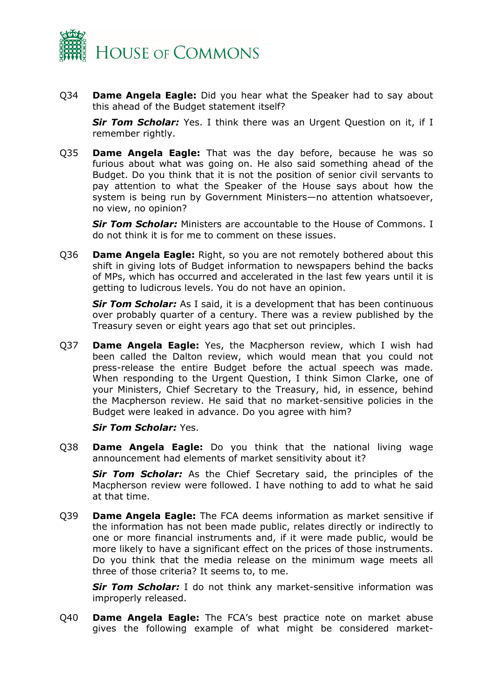

Q34 **Dame Angela Eagle:** Did you hear what the Speaker had to say about this ahead of the Budget statement itself?

*Sir Tom Scholar:* Yes. I think there was an Urgent Question on it, if I remember rightly.

Q35 **Dame Angela Eagle:** That was the day before, because he was so furious about what was going on. He also said something ahead of the Budget. Do you think that it is not the position of senior civil servants to pay attention to what the Speaker of the House says about how the system is being run by Government Ministers—no attention whatsoever, no view, no opinion?

*Sir Tom Scholar:* Ministers are accountable to the House of Commons. I do not think it is for me to comment on these issues.

Q36 **Dame Angela Eagle:** Right, so you are not remotely bothered about this shift in giving lots of Budget information to newspapers behind the backs of MPs, which has occurred and accelerated in the last few years until it is getting to ludicrous levels. You do not have an opinion.

*Sir Tom Scholar:* As I said, it is a development that has been continuous over probably quarter of a century. There was a review published by the Treasury seven or eight years ago that set out principles.

Q37 **Dame Angela Eagle:** Yes, the Macpherson review, which I wish had been called the Dalton review, which would mean that you could not press-release the entire Budget before the actual speech was made. When responding to the Urgent Question, I think Simon Clarke, one of your Ministers, Chief Secretary to the Treasury, hid, in essence, behind the Macpherson review. He said that no market-sensitive policies in the Budget were leaked in advance. Do you agree with him?

*Sir Tom Scholar:* Yes.

Q38 **Dame Angela Eagle:** Do you think that the national living wage announcement had elements of market sensitivity about it?

*Sir Tom Scholar:* As the Chief Secretary said, the principles of the Macpherson review were followed. I have nothing to add to what he said at that time.

Q39 **Dame Angela Eagle:** The FCA deems information as market sensitive if the information has not been made public, relates directly or indirectly to one or more financial instruments and, if it were made public, would be more likely to have a significant effect on the prices of those instruments. Do you think that the media release on the minimum wage meets all three of those criteria? It seems to, to me.

*Sir Tom Scholar:* I do not think any market-sensitive information was improperly released.

Q40 **Dame Angela Eagle:** The FCA's best practice note on market abuse gives the following example of what might be considered market-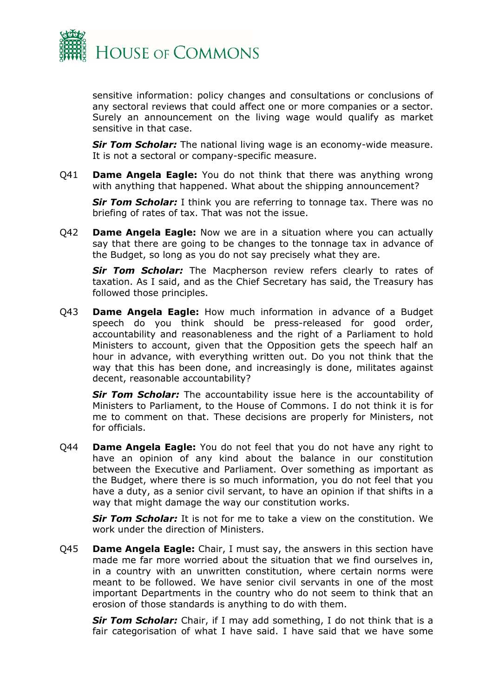

sensitive information: policy changes and consultations or conclusions of any sectoral reviews that could affect one or more companies or a sector. Surely an announcement on the living wage would qualify as market sensitive in that case.

*Sir Tom Scholar:* The national living wage is an economy-wide measure. It is not a sectoral or company-specific measure.

Q41 **Dame Angela Eagle:** You do not think that there was anything wrong with anything that happened. What about the shipping announcement?

*Sir Tom Scholar:* I think you are referring to tonnage tax. There was no briefing of rates of tax. That was not the issue.

Q42 **Dame Angela Eagle:** Now we are in a situation where you can actually say that there are going to be changes to the tonnage tax in advance of the Budget, so long as you do not say precisely what they are.

*Sir Tom Scholar:* The Macpherson review refers clearly to rates of taxation. As I said, and as the Chief Secretary has said, the Treasury has followed those principles.

Q43 **Dame Angela Eagle:** How much information in advance of a Budget speech do you think should be press-released for good order, accountability and reasonableness and the right of a Parliament to hold Ministers to account, given that the Opposition gets the speech half an hour in advance, with everything written out. Do you not think that the way that this has been done, and increasingly is done, militates against decent, reasonable accountability?

*Sir Tom Scholar:* The accountability issue here is the accountability of Ministers to Parliament, to the House of Commons. I do not think it is for me to comment on that. These decisions are properly for Ministers, not for officials.

Q44 **Dame Angela Eagle:** You do not feel that you do not have any right to have an opinion of any kind about the balance in our constitution between the Executive and Parliament. Over something as important as the Budget, where there is so much information, you do not feel that you have a duty, as a senior civil servant, to have an opinion if that shifts in a way that might damage the way our constitution works.

*Sir Tom Scholar:* It is not for me to take a view on the constitution. We work under the direction of Ministers.

Q45 **Dame Angela Eagle:** Chair, I must say, the answers in this section have made me far more worried about the situation that we find ourselves in, in a country with an unwritten constitution, where certain norms were meant to be followed. We have senior civil servants in one of the most important Departments in the country who do not seem to think that an erosion of those standards is anything to do with them.

*Sir Tom Scholar:* Chair, if I may add something, I do not think that is a fair categorisation of what I have said. I have said that we have some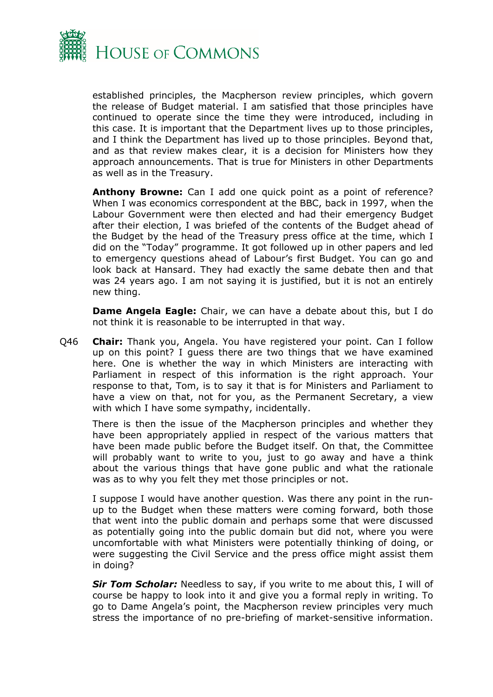

established principles, the Macpherson review principles, which govern the release of Budget material. I am satisfied that those principles have continued to operate since the time they were introduced, including in this case. It is important that the Department lives up to those principles, and I think the Department has lived up to those principles. Beyond that, and as that review makes clear, it is a decision for Ministers how they approach announcements. That is true for Ministers in other Departments as well as in the Treasury.

**Anthony Browne:** Can I add one quick point as a point of reference? When I was economics correspondent at the BBC, back in 1997, when the Labour Government were then elected and had their emergency Budget after their election, I was briefed of the contents of the Budget ahead of the Budget by the head of the Treasury press office at the time, which I did on the "Today" programme. It got followed up in other papers and led to emergency questions ahead of Labour's first Budget. You can go and look back at Hansard. They had exactly the same debate then and that was 24 years ago. I am not saying it is justified, but it is not an entirely new thing.

**Dame Angela Eagle:** Chair, we can have a debate about this, but I do not think it is reasonable to be interrupted in that way.

Q46 **Chair:** Thank you, Angela. You have registered your point. Can I follow up on this point? I guess there are two things that we have examined here. One is whether the way in which Ministers are interacting with Parliament in respect of this information is the right approach. Your response to that, Tom, is to say it that is for Ministers and Parliament to have a view on that, not for you, as the Permanent Secretary, a view with which I have some sympathy, incidentally.

There is then the issue of the Macpherson principles and whether they have been appropriately applied in respect of the various matters that have been made public before the Budget itself. On that, the Committee will probably want to write to you, just to go away and have a think about the various things that have gone public and what the rationale was as to why you felt they met those principles or not.

I suppose I would have another question. Was there any point in the runup to the Budget when these matters were coming forward, both those that went into the public domain and perhaps some that were discussed as potentially going into the public domain but did not, where you were uncomfortable with what Ministers were potentially thinking of doing, or were suggesting the Civil Service and the press office might assist them in doing?

*Sir Tom Scholar:* Needless to say, if you write to me about this, I will of course be happy to look into it and give you a formal reply in writing. To go to Dame Angela's point, the Macpherson review principles very much stress the importance of no pre-briefing of market-sensitive information.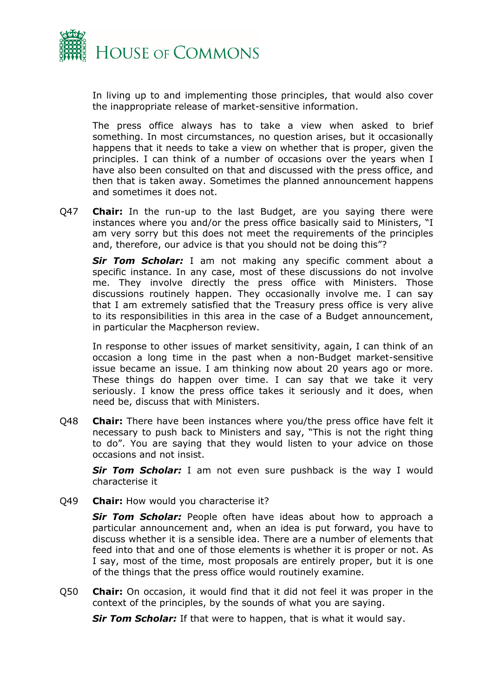

In living up to and implementing those principles, that would also cover the inappropriate release of market-sensitive information.

The press office always has to take a view when asked to brief something. In most circumstances, no question arises, but it occasionally happens that it needs to take a view on whether that is proper, given the principles. I can think of a number of occasions over the years when I have also been consulted on that and discussed with the press office, and then that is taken away. Sometimes the planned announcement happens and sometimes it does not.

Q47 **Chair:** In the run-up to the last Budget, are you saying there were instances where you and/or the press office basically said to Ministers, "I am very sorry but this does not meet the requirements of the principles and, therefore, our advice is that you should not be doing this"?

*Sir Tom Scholar:* I am not making any specific comment about a specific instance. In any case, most of these discussions do not involve me. They involve directly the press office with Ministers. Those discussions routinely happen. They occasionally involve me. I can say that I am extremely satisfied that the Treasury press office is very alive to its responsibilities in this area in the case of a Budget announcement, in particular the Macpherson review.

In response to other issues of market sensitivity, again, I can think of an occasion a long time in the past when a non-Budget market-sensitive issue became an issue. I am thinking now about 20 years ago or more. These things do happen over time. I can say that we take it very seriously. I know the press office takes it seriously and it does, when need be, discuss that with Ministers.

Q48 **Chair:** There have been instances where you/the press office have felt it necessary to push back to Ministers and say, "This is not the right thing to do". You are saying that they would listen to your advice on those occasions and not insist.

*Sir Tom Scholar:* I am not even sure pushback is the way I would characterise it

Q49 **Chair:** How would you characterise it?

*Sir Tom Scholar:* People often have ideas about how to approach a particular announcement and, when an idea is put forward, you have to discuss whether it is a sensible idea. There are a number of elements that feed into that and one of those elements is whether it is proper or not. As I say, most of the time, most proposals are entirely proper, but it is one of the things that the press office would routinely examine.

Q50 **Chair:** On occasion, it would find that it did not feel it was proper in the context of the principles, by the sounds of what you are saying.

*Sir Tom Scholar:* If that were to happen, that is what it would say.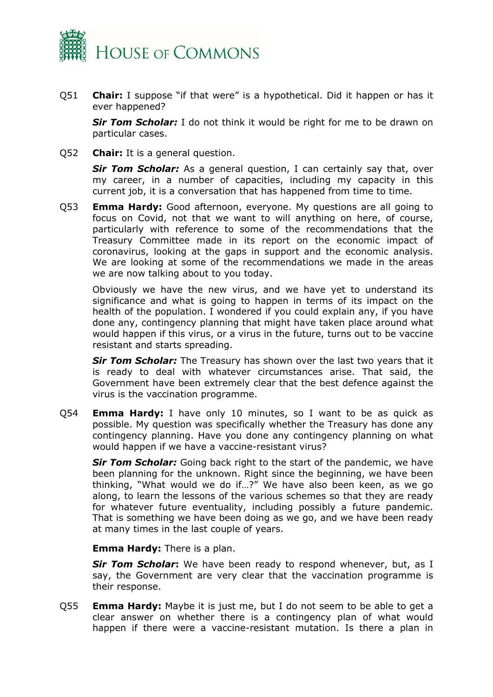

Q51 **Chair:** I suppose "if that were" is a hypothetical. Did it happen or has it ever happened?

*Sir Tom Scholar:* I do not think it would be right for me to be drawn on particular cases.

Q52 **Chair:** It is a general question.

*Sir Tom Scholar:* As a general question, I can certainly say that, over my career, in a number of capacities, including my capacity in this current job, it is a conversation that has happened from time to time.

Q53 **Emma Hardy:** Good afternoon, everyone. My questions are all going to focus on Covid, not that we want to will anything on here, of course, particularly with reference to some of the recommendations that the Treasury Committee made in its report on the economic impact of coronavirus, looking at the gaps in support and the economic analysis. We are looking at some of the recommendations we made in the areas we are now talking about to you today.

Obviously we have the new virus, and we have yet to understand its significance and what is going to happen in terms of its impact on the health of the population. I wondered if you could explain any, if you have done any, contingency planning that might have taken place around what would happen if this virus, or a virus in the future, turns out to be vaccine resistant and starts spreading.

*Sir Tom Scholar:* The Treasury has shown over the last two years that it is ready to deal with whatever circumstances arise. That said, the Government have been extremely clear that the best defence against the virus is the vaccination programme.

Q54 **Emma Hardy:** I have only 10 minutes, so I want to be as quick as possible. My question was specifically whether the Treasury has done any contingency planning. Have you done any contingency planning on what would happen if we have a vaccine-resistant virus?

*Sir Tom Scholar:* Going back right to the start of the pandemic, we have been planning for the unknown. Right since the beginning, we have been thinking, "What would we do if…?" We have also been keen, as we go along, to learn the lessons of the various schemes so that they are ready for whatever future eventuality, including possibly a future pandemic. That is something we have been doing as we go, and we have been ready at many times in the last couple of years.

**Emma Hardy:** There is a plan.

*Sir Tom Scholar***:** We have been ready to respond whenever, but, as I say, the Government are very clear that the vaccination programme is their response.

Q55 **Emma Hardy:** Maybe it is just me, but I do not seem to be able to get a clear answer on whether there is a contingency plan of what would happen if there were a vaccine-resistant mutation. Is there a plan in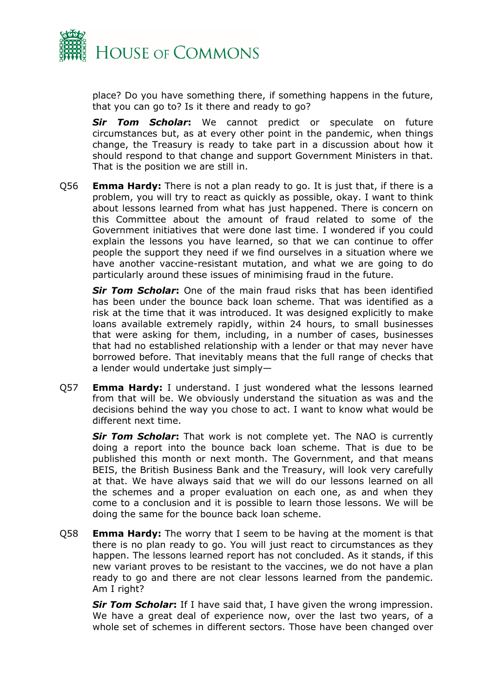

place? Do you have something there, if something happens in the future, that you can go to? Is it there and ready to go?

*Sir Tom Scholar***:** We cannot predict or speculate on future circumstances but, as at every other point in the pandemic, when things change, the Treasury is ready to take part in a discussion about how it should respond to that change and support Government Ministers in that. That is the position we are still in.

Q56 **Emma Hardy:** There is not a plan ready to go. It is just that, if there is a problem, you will try to react as quickly as possible, okay. I want to think about lessons learned from what has just happened. There is concern on this Committee about the amount of fraud related to some of the Government initiatives that were done last time. I wondered if you could explain the lessons you have learned, so that we can continue to offer people the support they need if we find ourselves in a situation where we have another vaccine-resistant mutation, and what we are going to do particularly around these issues of minimising fraud in the future.

*Sir Tom Scholar***:** One of the main fraud risks that has been identified has been under the bounce back loan scheme. That was identified as a risk at the time that it was introduced. It was designed explicitly to make loans available extremely rapidly, within 24 hours, to small businesses that were asking for them, including, in a number of cases, businesses that had no established relationship with a lender or that may never have borrowed before. That inevitably means that the full range of checks that a lender would undertake just simply—

Q57 **Emma Hardy:** I understand. I just wondered what the lessons learned from that will be. We obviously understand the situation as was and the decisions behind the way you chose to act. I want to know what would be different next time.

*Sir Tom Scholar***:** That work is not complete yet. The NAO is currently doing a report into the bounce back loan scheme. That is due to be published this month or next month. The Government, and that means BEIS, the British Business Bank and the Treasury, will look very carefully at that. We have always said that we will do our lessons learned on all the schemes and a proper evaluation on each one, as and when they come to a conclusion and it is possible to learn those lessons. We will be doing the same for the bounce back loan scheme.

Q58 **Emma Hardy:** The worry that I seem to be having at the moment is that there is no plan ready to go. You will just react to circumstances as they happen. The lessons learned report has not concluded. As it stands, if this new variant proves to be resistant to the vaccines, we do not have a plan ready to go and there are not clear lessons learned from the pandemic. Am I right?

*Sir Tom Scholar***:** If I have said that, I have given the wrong impression. We have a great deal of experience now, over the last two years, of a whole set of schemes in different sectors. Those have been changed over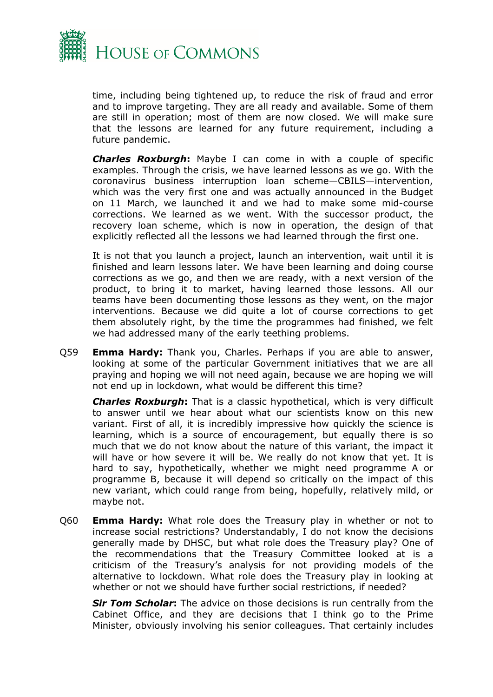

time, including being tightened up, to reduce the risk of fraud and error and to improve targeting. They are all ready and available. Some of them are still in operation; most of them are now closed. We will make sure that the lessons are learned for any future requirement, including a future pandemic.

*Charles Roxburgh***:** Maybe I can come in with a couple of specific examples. Through the crisis, we have learned lessons as we go. With the coronavirus business interruption loan scheme—CBILS—intervention, which was the very first one and was actually announced in the Budget on 11 March, we launched it and we had to make some mid-course corrections. We learned as we went. With the successor product, the recovery loan scheme, which is now in operation, the design of that explicitly reflected all the lessons we had learned through the first one.

It is not that you launch a project, launch an intervention, wait until it is finished and learn lessons later. We have been learning and doing course corrections as we go, and then we are ready, with a next version of the product, to bring it to market, having learned those lessons. All our teams have been documenting those lessons as they went, on the major interventions. Because we did quite a lot of course corrections to get them absolutely right, by the time the programmes had finished, we felt we had addressed many of the early teething problems.

Q59 **Emma Hardy:** Thank you, Charles. Perhaps if you are able to answer, looking at some of the particular Government initiatives that we are all praying and hoping we will not need again, because we are hoping we will not end up in lockdown, what would be different this time?

*Charles Roxburgh***:** That is a classic hypothetical, which is very difficult to answer until we hear about what our scientists know on this new variant. First of all, it is incredibly impressive how quickly the science is learning, which is a source of encouragement, but equally there is so much that we do not know about the nature of this variant, the impact it will have or how severe it will be. We really do not know that yet. It is hard to say, hypothetically, whether we might need programme A or programme B, because it will depend so critically on the impact of this new variant, which could range from being, hopefully, relatively mild, or maybe not.

Q60 **Emma Hardy:** What role does the Treasury play in whether or not to increase social restrictions? Understandably, I do not know the decisions generally made by DHSC, but what role does the Treasury play? One of the recommendations that the Treasury Committee looked at is a criticism of the Treasury's analysis for not providing models of the alternative to lockdown. What role does the Treasury play in looking at whether or not we should have further social restrictions, if needed?

*Sir Tom Scholar***:** The advice on those decisions is run centrally from the Cabinet Office, and they are decisions that I think go to the Prime Minister, obviously involving his senior colleagues. That certainly includes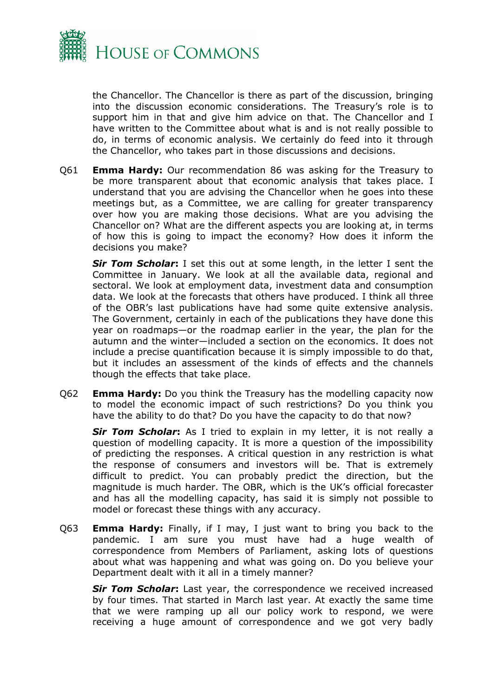

the Chancellor. The Chancellor is there as part of the discussion, bringing into the discussion economic considerations. The Treasury's role is to support him in that and give him advice on that. The Chancellor and I have written to the Committee about what is and is not really possible to do, in terms of economic analysis. We certainly do feed into it through the Chancellor, who takes part in those discussions and decisions.

Q61 **Emma Hardy:** Our recommendation 86 was asking for the Treasury to be more transparent about that economic analysis that takes place. I understand that you are advising the Chancellor when he goes into these meetings but, as a Committee, we are calling for greater transparency over how you are making those decisions. What are you advising the Chancellor on? What are the different aspects you are looking at, in terms of how this is going to impact the economy? How does it inform the decisions you make?

*Sir Tom Scholar***:** I set this out at some length, in the letter I sent the Committee in January. We look at all the available data, regional and sectoral. We look at employment data, investment data and consumption data. We look at the forecasts that others have produced. I think all three of the OBR's last publications have had some quite extensive analysis. The Government, certainly in each of the publications they have done this year on roadmaps—or the roadmap earlier in the year, the plan for the autumn and the winter—included a section on the economics. It does not include a precise quantification because it is simply impossible to do that, but it includes an assessment of the kinds of effects and the channels though the effects that take place.

Q62 **Emma Hardy:** Do you think the Treasury has the modelling capacity now to model the economic impact of such restrictions? Do you think you have the ability to do that? Do you have the capacity to do that now?

*Sir Tom Scholar***:** As I tried to explain in my letter, it is not really a question of modelling capacity. It is more a question of the impossibility of predicting the responses. A critical question in any restriction is what the response of consumers and investors will be. That is extremely difficult to predict. You can probably predict the direction, but the magnitude is much harder. The OBR, which is the UK's official forecaster and has all the modelling capacity, has said it is simply not possible to model or forecast these things with any accuracy.

Q63 **Emma Hardy:** Finally, if I may, I just want to bring you back to the pandemic. I am sure you must have had a huge wealth of correspondence from Members of Parliament, asking lots of questions about what was happening and what was going on. Do you believe your Department dealt with it all in a timely manner?

*Sir Tom Scholar***:** Last year, the correspondence we received increased by four times. That started in March last year. At exactly the same time that we were ramping up all our policy work to respond, we were receiving a huge amount of correspondence and we got very badly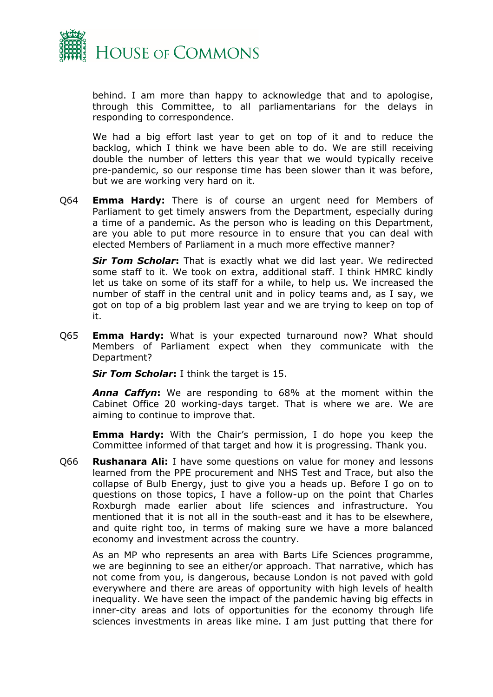

behind. I am more than happy to acknowledge that and to apologise, through this Committee, to all parliamentarians for the delays in responding to correspondence.

We had a big effort last year to get on top of it and to reduce the backlog, which I think we have been able to do. We are still receiving double the number of letters this year that we would typically receive pre-pandemic, so our response time has been slower than it was before, but we are working very hard on it.

Q64 **Emma Hardy:** There is of course an urgent need for Members of Parliament to get timely answers from the Department, especially during a time of a pandemic. As the person who is leading on this Department, are you able to put more resource in to ensure that you can deal with elected Members of Parliament in a much more effective manner?

*Sir Tom Scholar***:** That is exactly what we did last year. We redirected some staff to it. We took on extra, additional staff. I think HMRC kindly let us take on some of its staff for a while, to help us. We increased the number of staff in the central unit and in policy teams and, as I say, we got on top of a big problem last year and we are trying to keep on top of it.

Q65 **Emma Hardy:** What is your expected turnaround now? What should Members of Parliament expect when they communicate with the Department?

*Sir Tom Scholar***:** I think the target is 15.

*Anna Caffyn***:** We are responding to 68% at the moment within the Cabinet Office 20 working-days target. That is where we are. We are aiming to continue to improve that.

**Emma Hardy:** With the Chair's permission, I do hope you keep the Committee informed of that target and how it is progressing. Thank you.

Q66 **Rushanara Ali:** I have some questions on value for money and lessons learned from the PPE procurement and NHS Test and Trace, but also the collapse of Bulb Energy, just to give you a heads up. Before I go on to questions on those topics, I have a follow-up on the point that Charles Roxburgh made earlier about life sciences and infrastructure. You mentioned that it is not all in the south-east and it has to be elsewhere, and quite right too, in terms of making sure we have a more balanced economy and investment across the country.

As an MP who represents an area with Barts Life Sciences programme, we are beginning to see an either/or approach. That narrative, which has not come from you, is dangerous, because London is not paved with gold everywhere and there are areas of opportunity with high levels of health inequality. We have seen the impact of the pandemic having big effects in inner-city areas and lots of opportunities for the economy through life sciences investments in areas like mine. I am just putting that there for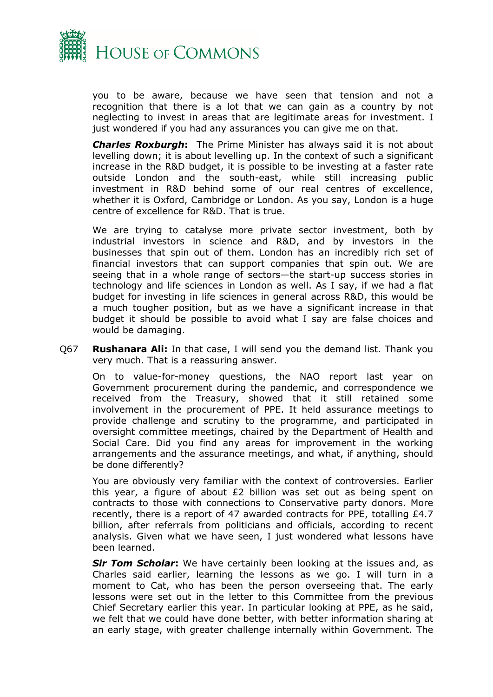

you to be aware, because we have seen that tension and not a recognition that there is a lot that we can gain as a country by not neglecting to invest in areas that are legitimate areas for investment. I just wondered if you had any assurances you can give me on that.

*Charles Roxburgh***:** The Prime Minister has always said it is not about levelling down; it is about levelling up. In the context of such a significant increase in the R&D budget, it is possible to be investing at a faster rate outside London and the south-east, while still increasing public investment in R&D behind some of our real centres of excellence, whether it is Oxford, Cambridge or London. As you say, London is a huge centre of excellence for R&D. That is true.

We are trying to catalyse more private sector investment, both by industrial investors in science and R&D, and by investors in the businesses that spin out of them. London has an incredibly rich set of financial investors that can support companies that spin out. We are seeing that in a whole range of sectors—the start-up success stories in technology and life sciences in London as well. As I say, if we had a flat budget for investing in life sciences in general across R&D, this would be a much tougher position, but as we have a significant increase in that budget it should be possible to avoid what I say are false choices and would be damaging.

Q67 **Rushanara Ali:** In that case, I will send you the demand list. Thank you very much. That is a reassuring answer.

On to value-for-money questions, the NAO report last year on Government procurement during the pandemic, and correspondence we received from the Treasury, showed that it still retained some involvement in the procurement of PPE. It held assurance meetings to provide challenge and scrutiny to the programme, and participated in oversight committee meetings, chaired by the Department of Health and Social Care. Did you find any areas for improvement in the working arrangements and the assurance meetings, and what, if anything, should be done differently?

You are obviously very familiar with the context of controversies. Earlier this year, a figure of about £2 billion was set out as being spent on contracts to those with connections to Conservative party donors. More recently, there is a report of 47 awarded contracts for PPE, totalling £4.7 billion, after referrals from politicians and officials, according to recent analysis. Given what we have seen, I just wondered what lessons have been learned.

*Sir Tom Scholar***:** We have certainly been looking at the issues and, as Charles said earlier, learning the lessons as we go. I will turn in a moment to Cat, who has been the person overseeing that. The early lessons were set out in the letter to this Committee from the previous Chief Secretary earlier this year. In particular looking at PPE, as he said, we felt that we could have done better, with better information sharing at an early stage, with greater challenge internally within Government. The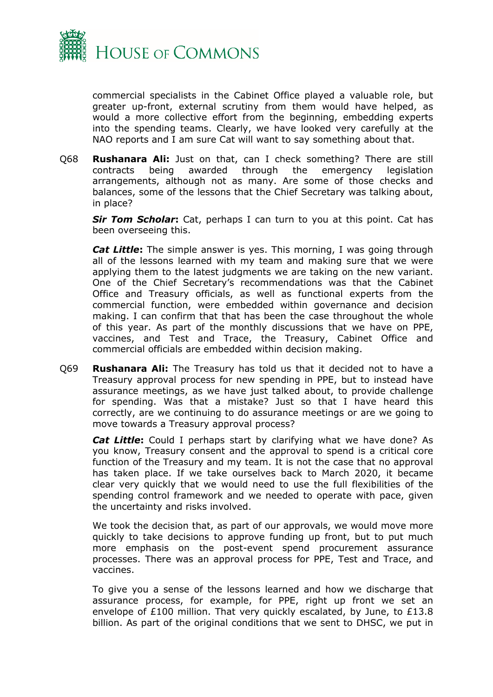

commercial specialists in the Cabinet Office played a valuable role, but greater up-front, external scrutiny from them would have helped, as would a more collective effort from the beginning, embedding experts into the spending teams. Clearly, we have looked very carefully at the NAO reports and I am sure Cat will want to say something about that.

Q68 **Rushanara Ali:** Just on that, can I check something? There are still contracts being awarded through the emergency legislation arrangements, although not as many. Are some of those checks and balances, some of the lessons that the Chief Secretary was talking about, in place?

*Sir Tom Scholar***:** Cat, perhaps I can turn to you at this point. Cat has been overseeing this.

*Cat Little***:** The simple answer is yes. This morning, I was going through all of the lessons learned with my team and making sure that we were applying them to the latest judgments we are taking on the new variant. One of the Chief Secretary's recommendations was that the Cabinet Office and Treasury officials, as well as functional experts from the commercial function, were embedded within governance and decision making. I can confirm that that has been the case throughout the whole of this year. As part of the monthly discussions that we have on PPE, vaccines, and Test and Trace, the Treasury, Cabinet Office and commercial officials are embedded within decision making.

Q69 **Rushanara Ali:** The Treasury has told us that it decided not to have a Treasury approval process for new spending in PPE, but to instead have assurance meetings, as we have just talked about, to provide challenge for spending. Was that a mistake? Just so that I have heard this correctly, are we continuing to do assurance meetings or are we going to move towards a Treasury approval process?

*Cat Little***:** Could I perhaps start by clarifying what we have done? As you know, Treasury consent and the approval to spend is a critical core function of the Treasury and my team. It is not the case that no approval has taken place. If we take ourselves back to March 2020, it became clear very quickly that we would need to use the full flexibilities of the spending control framework and we needed to operate with pace, given the uncertainty and risks involved.

We took the decision that, as part of our approvals, we would move more quickly to take decisions to approve funding up front, but to put much more emphasis on the post-event spend procurement assurance processes. There was an approval process for PPE, Test and Trace, and vaccines.

To give you a sense of the lessons learned and how we discharge that assurance process, for example, for PPE, right up front we set an envelope of £100 million. That very quickly escalated, by June, to £13.8 billion. As part of the original conditions that we sent to DHSC, we put in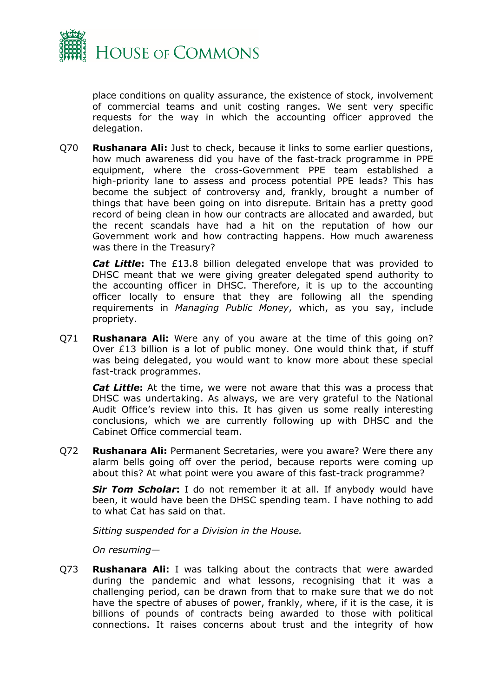

place conditions on quality assurance, the existence of stock, involvement of commercial teams and unit costing ranges. We sent very specific requests for the way in which the accounting officer approved the delegation.

Q70 **Rushanara Ali:** Just to check, because it links to some earlier questions, how much awareness did you have of the fast-track programme in PPE equipment, where the cross-Government PPE team established a high-priority lane to assess and process potential PPE leads? This has become the subject of controversy and, frankly, brought a number of things that have been going on into disrepute. Britain has a pretty good record of being clean in how our contracts are allocated and awarded, but the recent scandals have had a hit on the reputation of how our Government work and how contracting happens. How much awareness was there in the Treasury?

*Cat Little***:** The £13.8 billion delegated envelope that was provided to DHSC meant that we were giving greater delegated spend authority to the accounting officer in DHSC. Therefore, it is up to the accounting officer locally to ensure that they are following all the spending requirements in *Managing Public Money*, which, as you say, include propriety.

Q71 **Rushanara Ali:** Were any of you aware at the time of this going on? Over £13 billion is a lot of public money. One would think that, if stuff was being delegated, you would want to know more about these special fast-track programmes.

*Cat Little***:** At the time, we were not aware that this was a process that DHSC was undertaking. As always, we are very grateful to the National Audit Office's review into this. It has given us some really interesting conclusions, which we are currently following up with DHSC and the Cabinet Office commercial team.

Q72 **Rushanara Ali:** Permanent Secretaries, were you aware? Were there any alarm bells going off over the period, because reports were coming up about this? At what point were you aware of this fast-track programme?

*Sir Tom Scholar***:** I do not remember it at all. If anybody would have been, it would have been the DHSC spending team. I have nothing to add to what Cat has said on that.

*Sitting suspended for a Division in the House.*

*On resuming—*

Q73 **Rushanara Ali:** I was talking about the contracts that were awarded during the pandemic and what lessons, recognising that it was a challenging period, can be drawn from that to make sure that we do not have the spectre of abuses of power, frankly, where, if it is the case, it is billions of pounds of contracts being awarded to those with political connections. It raises concerns about trust and the integrity of how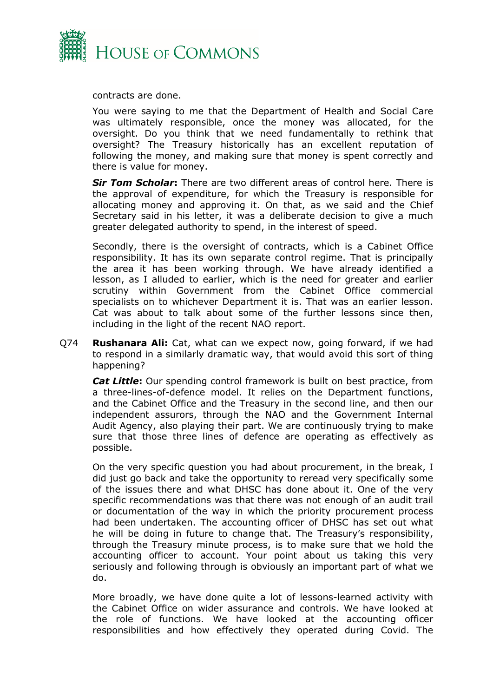

contracts are done.

You were saying to me that the Department of Health and Social Care was ultimately responsible, once the money was allocated, for the oversight. Do you think that we need fundamentally to rethink that oversight? The Treasury historically has an excellent reputation of following the money, and making sure that money is spent correctly and there is value for money.

*Sir Tom Scholar***:** There are two different areas of control here. There is the approval of expenditure, for which the Treasury is responsible for allocating money and approving it. On that, as we said and the Chief Secretary said in his letter, it was a deliberate decision to give a much greater delegated authority to spend, in the interest of speed.

Secondly, there is the oversight of contracts, which is a Cabinet Office responsibility. It has its own separate control regime. That is principally the area it has been working through. We have already identified a lesson, as I alluded to earlier, which is the need for greater and earlier scrutiny within Government from the Cabinet Office commercial specialists on to whichever Department it is. That was an earlier lesson. Cat was about to talk about some of the further lessons since then, including in the light of the recent NAO report.

Q74 **Rushanara Ali:** Cat, what can we expect now, going forward, if we had to respond in a similarly dramatic way, that would avoid this sort of thing happening?

*Cat Little***:** Our spending control framework is built on best practice, from a three-lines-of-defence model. It relies on the Department functions, and the Cabinet Office and the Treasury in the second line, and then our independent assurors, through the NAO and the Government Internal Audit Agency, also playing their part. We are continuously trying to make sure that those three lines of defence are operating as effectively as possible.

On the very specific question you had about procurement, in the break, I did just go back and take the opportunity to reread very specifically some of the issues there and what DHSC has done about it. One of the very specific recommendations was that there was not enough of an audit trail or documentation of the way in which the priority procurement process had been undertaken. The accounting officer of DHSC has set out what he will be doing in future to change that. The Treasury's responsibility, through the Treasury minute process, is to make sure that we hold the accounting officer to account. Your point about us taking this very seriously and following through is obviously an important part of what we do.

More broadly, we have done quite a lot of lessons-learned activity with the Cabinet Office on wider assurance and controls. We have looked at the role of functions. We have looked at the accounting officer responsibilities and how effectively they operated during Covid. The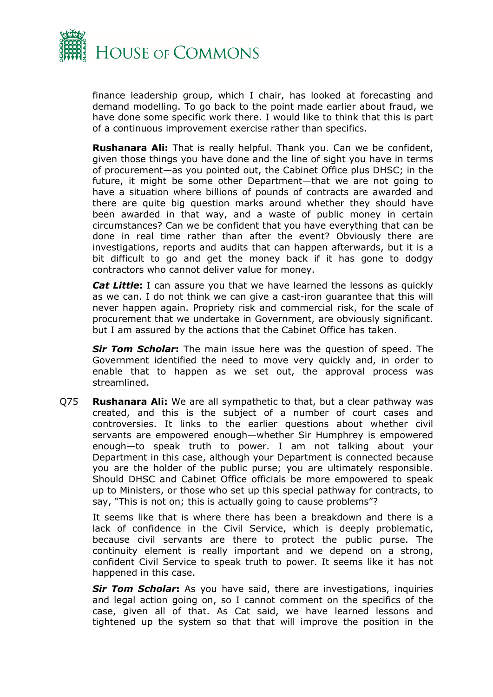

finance leadership group, which I chair, has looked at forecasting and demand modelling. To go back to the point made earlier about fraud, we have done some specific work there. I would like to think that this is part of a continuous improvement exercise rather than specifics.

**Rushanara Ali:** That is really helpful. Thank you. Can we be confident, given those things you have done and the line of sight you have in terms of procurement—as you pointed out, the Cabinet Office plus DHSC; in the future, it might be some other Department—that we are not going to have a situation where billions of pounds of contracts are awarded and there are quite big question marks around whether they should have been awarded in that way, and a waste of public money in certain circumstances? Can we be confident that you have everything that can be done in real time rather than after the event? Obviously there are investigations, reports and audits that can happen afterwards, but it is a bit difficult to go and get the money back if it has gone to dodgy contractors who cannot deliver value for money.

*Cat Little***:** I can assure you that we have learned the lessons as quickly as we can. I do not think we can give a cast-iron guarantee that this will never happen again. Propriety risk and commercial risk, for the scale of procurement that we undertake in Government, are obviously significant. but I am assured by the actions that the Cabinet Office has taken.

*Sir Tom Scholar***:** The main issue here was the question of speed. The Government identified the need to move very quickly and, in order to enable that to happen as we set out, the approval process was streamlined.

Q75 **Rushanara Ali:** We are all sympathetic to that, but a clear pathway was created, and this is the subject of a number of court cases and controversies. It links to the earlier questions about whether civil servants are empowered enough—whether Sir Humphrey is empowered enough—to speak truth to power. I am not talking about your Department in this case, although your Department is connected because you are the holder of the public purse; you are ultimately responsible. Should DHSC and Cabinet Office officials be more empowered to speak up to Ministers, or those who set up this special pathway for contracts, to say, "This is not on; this is actually going to cause problems"?

It seems like that is where there has been a breakdown and there is a lack of confidence in the Civil Service, which is deeply problematic, because civil servants are there to protect the public purse. The continuity element is really important and we depend on a strong, confident Civil Service to speak truth to power. It seems like it has not happened in this case.

*Sir Tom Scholar***:** As you have said, there are investigations, inquiries and legal action going on, so I cannot comment on the specifics of the case, given all of that. As Cat said, we have learned lessons and tightened up the system so that that will improve the position in the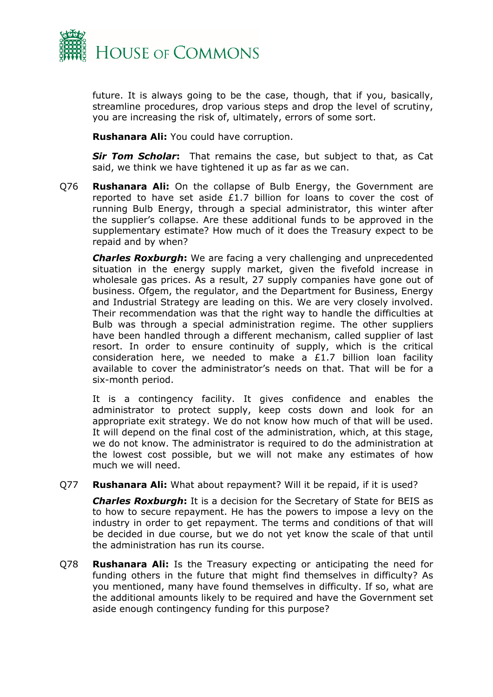

future. It is always going to be the case, though, that if you, basically, streamline procedures, drop various steps and drop the level of scrutiny, you are increasing the risk of, ultimately, errors of some sort.

**Rushanara Ali:** You could have corruption.

*Sir Tom Scholar***:** That remains the case, but subject to that, as Cat said, we think we have tightened it up as far as we can.

Q76 **Rushanara Ali:** On the collapse of Bulb Energy, the Government are reported to have set aside £1.7 billion for loans to cover the cost of running Bulb Energy, through a special administrator, this winter after the supplier's collapse. Are these additional funds to be approved in the supplementary estimate? How much of it does the Treasury expect to be repaid and by when?

*Charles Roxburgh***:** We are facing a very challenging and unprecedented situation in the energy supply market, given the fivefold increase in wholesale gas prices. As a result, 27 supply companies have gone out of business. Ofgem, the regulator, and the Department for Business, Energy and Industrial Strategy are leading on this. We are very closely involved. Their recommendation was that the right way to handle the difficulties at Bulb was through a special administration regime. The other suppliers have been handled through a different mechanism, called supplier of last resort. In order to ensure continuity of supply, which is the critical consideration here, we needed to make a £1.7 billion loan facility available to cover the administrator's needs on that. That will be for a six-month period.

It is a contingency facility. It gives confidence and enables the administrator to protect supply, keep costs down and look for an appropriate exit strategy. We do not know how much of that will be used. It will depend on the final cost of the administration, which, at this stage, we do not know. The administrator is required to do the administration at the lowest cost possible, but we will not make any estimates of how much we will need.

Q77 **Rushanara Ali:** What about repayment? Will it be repaid, if it is used?

*Charles Roxburgh***:** It is a decision for the Secretary of State for BEIS as to how to secure repayment. He has the powers to impose a levy on the industry in order to get repayment. The terms and conditions of that will be decided in due course, but we do not yet know the scale of that until the administration has run its course.

Q78 **Rushanara Ali:** Is the Treasury expecting or anticipating the need for funding others in the future that might find themselves in difficulty? As you mentioned, many have found themselves in difficulty. If so, what are the additional amounts likely to be required and have the Government set aside enough contingency funding for this purpose?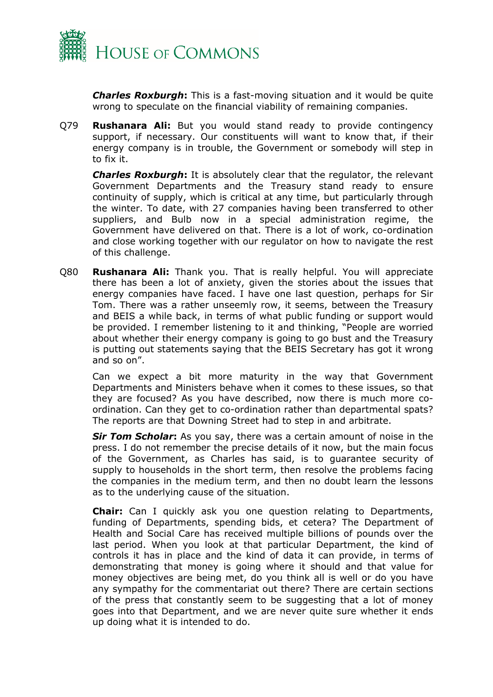

*Charles Roxburgh***:** This is a fast-moving situation and it would be quite wrong to speculate on the financial viability of remaining companies.

Q79 **Rushanara Ali:** But you would stand ready to provide contingency support, if necessary. Our constituents will want to know that, if their energy company is in trouble, the Government or somebody will step in to fix it.

*Charles Roxburgh***:** It is absolutely clear that the regulator, the relevant Government Departments and the Treasury stand ready to ensure continuity of supply, which is critical at any time, but particularly through the winter. To date, with 27 companies having been transferred to other suppliers, and Bulb now in a special administration regime, the Government have delivered on that. There is a lot of work, co-ordination and close working together with our regulator on how to navigate the rest of this challenge.

Q80 **Rushanara Ali:** Thank you. That is really helpful. You will appreciate there has been a lot of anxiety, given the stories about the issues that energy companies have faced. I have one last question, perhaps for Sir Tom. There was a rather unseemly row, it seems, between the Treasury and BEIS a while back, in terms of what public funding or support would be provided. I remember listening to it and thinking, "People are worried about whether their energy company is going to go bust and the Treasury is putting out statements saying that the BEIS Secretary has got it wrong and so on".

Can we expect a bit more maturity in the way that Government Departments and Ministers behave when it comes to these issues, so that they are focused? As you have described, now there is much more coordination. Can they get to co-ordination rather than departmental spats? The reports are that Downing Street had to step in and arbitrate.

*Sir Tom Scholar***:** As you say, there was a certain amount of noise in the press. I do not remember the precise details of it now, but the main focus of the Government, as Charles has said, is to guarantee security of supply to households in the short term, then resolve the problems facing the companies in the medium term, and then no doubt learn the lessons as to the underlying cause of the situation.

**Chair:** Can I quickly ask you one question relating to Departments, funding of Departments, spending bids, et cetera? The Department of Health and Social Care has received multiple billions of pounds over the last period. When you look at that particular Department, the kind of controls it has in place and the kind of data it can provide, in terms of demonstrating that money is going where it should and that value for money objectives are being met, do you think all is well or do you have any sympathy for the commentariat out there? There are certain sections of the press that constantly seem to be suggesting that a lot of money goes into that Department, and we are never quite sure whether it ends up doing what it is intended to do.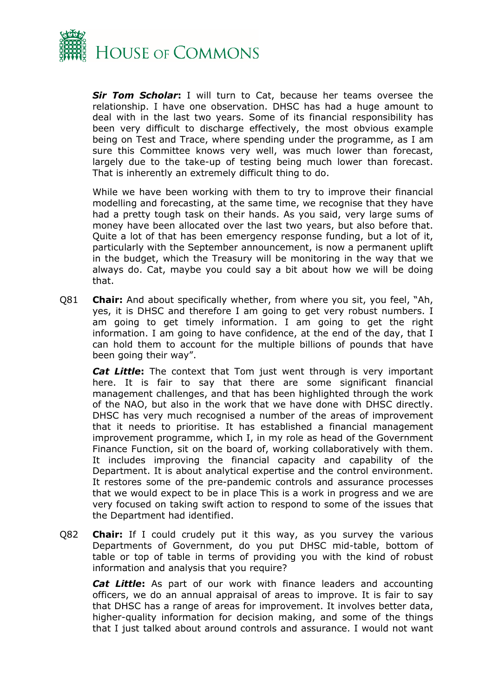

*Sir Tom Scholar***:** I will turn to Cat, because her teams oversee the relationship. I have one observation. DHSC has had a huge amount to deal with in the last two years. Some of its financial responsibility has been very difficult to discharge effectively, the most obvious example being on Test and Trace, where spending under the programme, as I am sure this Committee knows very well, was much lower than forecast, largely due to the take-up of testing being much lower than forecast. That is inherently an extremely difficult thing to do.

While we have been working with them to try to improve their financial modelling and forecasting, at the same time, we recognise that they have had a pretty tough task on their hands. As you said, very large sums of money have been allocated over the last two years, but also before that. Quite a lot of that has been emergency response funding, but a lot of it, particularly with the September announcement, is now a permanent uplift in the budget, which the Treasury will be monitoring in the way that we always do. Cat, maybe you could say a bit about how we will be doing that.

Q81 **Chair:** And about specifically whether, from where you sit, you feel, "Ah, yes, it is DHSC and therefore I am going to get very robust numbers. I am going to get timely information. I am going to get the right information. I am going to have confidence, at the end of the day, that I can hold them to account for the multiple billions of pounds that have been going their way".

*Cat Little***:** The context that Tom just went through is very important here. It is fair to say that there are some significant financial management challenges, and that has been highlighted through the work of the NAO, but also in the work that we have done with DHSC directly. DHSC has very much recognised a number of the areas of improvement that it needs to prioritise. It has established a financial management improvement programme, which I, in my role as head of the Government Finance Function, sit on the board of, working collaboratively with them. It includes improving the financial capacity and capability of the Department. It is about analytical expertise and the control environment. It restores some of the pre-pandemic controls and assurance processes that we would expect to be in place This is a work in progress and we are very focused on taking swift action to respond to some of the issues that the Department had identified.

Q82 **Chair:** If I could crudely put it this way, as you survey the various Departments of Government, do you put DHSC mid-table, bottom of table or top of table in terms of providing you with the kind of robust information and analysis that you require?

*Cat Little***:** As part of our work with finance leaders and accounting officers, we do an annual appraisal of areas to improve. It is fair to say that DHSC has a range of areas for improvement. It involves better data, higher-quality information for decision making, and some of the things that I just talked about around controls and assurance. I would not want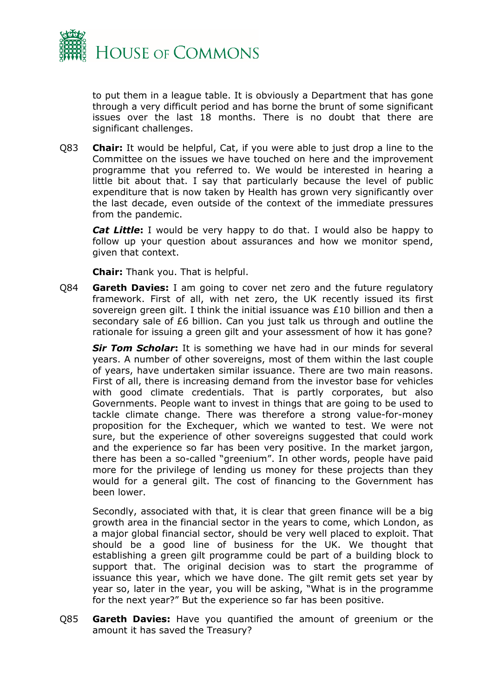

to put them in a league table. It is obviously a Department that has gone through a very difficult period and has borne the brunt of some significant issues over the last 18 months. There is no doubt that there are significant challenges.

Q83 **Chair:** It would be helpful, Cat, if you were able to just drop a line to the Committee on the issues we have touched on here and the improvement programme that you referred to. We would be interested in hearing a little bit about that. I say that particularly because the level of public expenditure that is now taken by Health has grown very significantly over the last decade, even outside of the context of the immediate pressures from the pandemic.

*Cat Little***:** I would be very happy to do that. I would also be happy to follow up your question about assurances and how we monitor spend, given that context.

**Chair:** Thank you. That is helpful.

Q84 **Gareth Davies:** I am going to cover net zero and the future regulatory framework. First of all, with net zero, the UK recently issued its first sovereign green gilt. I think the initial issuance was £10 billion and then a secondary sale of £6 billion. Can you just talk us through and outline the rationale for issuing a green gilt and your assessment of how it has gone?

*Sir Tom Scholar***:** It is something we have had in our minds for several years. A number of other sovereigns, most of them within the last couple of years, have undertaken similar issuance. There are two main reasons. First of all, there is increasing demand from the investor base for vehicles with good climate credentials. That is partly corporates, but also Governments. People want to invest in things that are going to be used to tackle climate change. There was therefore a strong value-for-money proposition for the Exchequer, which we wanted to test. We were not sure, but the experience of other sovereigns suggested that could work and the experience so far has been very positive. In the market jargon, there has been a so-called "greenium". In other words, people have paid more for the privilege of lending us money for these projects than they would for a general gilt. The cost of financing to the Government has been lower.

Secondly, associated with that, it is clear that green finance will be a big growth area in the financial sector in the years to come, which London, as a major global financial sector, should be very well placed to exploit. That should be a good line of business for the UK. We thought that establishing a green gilt programme could be part of a building block to support that. The original decision was to start the programme of issuance this year, which we have done. The gilt remit gets set year by year so, later in the year, you will be asking, "What is in the programme for the next year?" But the experience so far has been positive.

Q85 **Gareth Davies:** Have you quantified the amount of greenium or the amount it has saved the Treasury?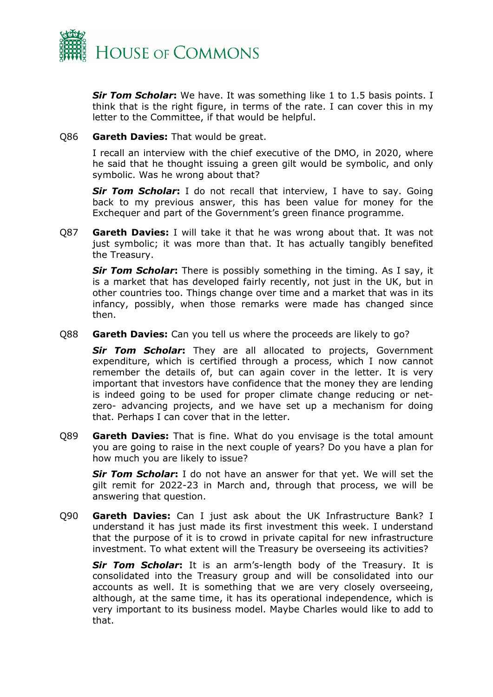

*Sir Tom Scholar***:** We have. It was something like 1 to 1.5 basis points. I think that is the right figure, in terms of the rate. I can cover this in my letter to the Committee, if that would be helpful.

#### Q86 **Gareth Davies:** That would be great.

I recall an interview with the chief executive of the DMO, in 2020, where he said that he thought issuing a green gilt would be symbolic, and only symbolic. Was he wrong about that?

*Sir Tom Scholar***:** I do not recall that interview, I have to say. Going back to my previous answer, this has been value for money for the Exchequer and part of the Government's green finance programme.

Q87 **Gareth Davies:** I will take it that he was wrong about that. It was not just symbolic; it was more than that. It has actually tangibly benefited the Treasury.

*Sir Tom Scholar***:** There is possibly something in the timing. As I say, it is a market that has developed fairly recently, not just in the UK, but in other countries too. Things change over time and a market that was in its infancy, possibly, when those remarks were made has changed since then.

Q88 **Gareth Davies:** Can you tell us where the proceeds are likely to go?

*Sir Tom Scholar***:** They are all allocated to projects, Government expenditure, which is certified through a process, which I now cannot remember the details of, but can again cover in the letter. It is very important that investors have confidence that the money they are lending is indeed going to be used for proper climate change reducing or netzero- advancing projects, and we have set up a mechanism for doing that. Perhaps I can cover that in the letter.

Q89 **Gareth Davies:** That is fine. What do you envisage is the total amount you are going to raise in the next couple of years? Do you have a plan for how much you are likely to issue?

*Sir Tom Scholar***:** I do not have an answer for that yet. We will set the gilt remit for 2022-23 in March and, through that process, we will be answering that question.

Q90 **Gareth Davies:** Can I just ask about the UK Infrastructure Bank? I understand it has just made its first investment this week. I understand that the purpose of it is to crowd in private capital for new infrastructure investment. To what extent will the Treasury be overseeing its activities?

*Sir Tom Scholar***:** It is an arm's-length body of the Treasury. It is consolidated into the Treasury group and will be consolidated into our accounts as well. It is something that we are very closely overseeing, although, at the same time, it has its operational independence, which is very important to its business model. Maybe Charles would like to add to that.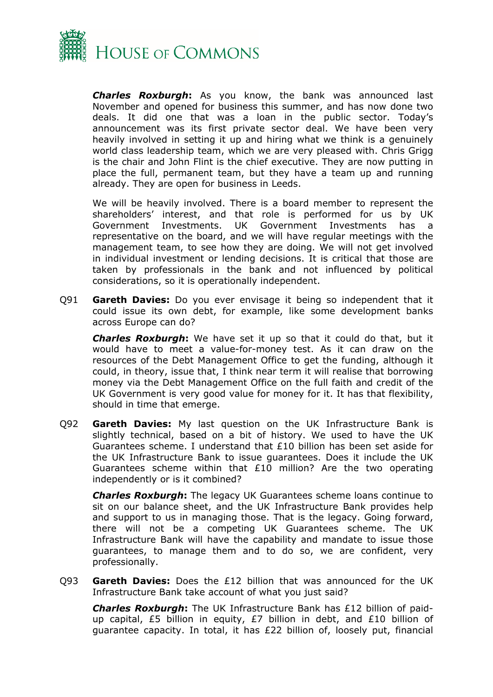

*Charles Roxburgh***:** As you know, the bank was announced last November and opened for business this summer, and has now done two deals. It did one that was a loan in the public sector. Today's announcement was its first private sector deal. We have been very heavily involved in setting it up and hiring what we think is a genuinely world class leadership team, which we are very pleased with. Chris Grigg is the chair and John Flint is the chief executive. They are now putting in place the full, permanent team, but they have a team up and running already. They are open for business in Leeds.

We will be heavily involved. There is a board member to represent the shareholders' interest, and that role is performed for us by UK Government Investments. UK Government Investments has a representative on the board, and we will have regular meetings with the management team, to see how they are doing. We will not get involved in individual investment or lending decisions. It is critical that those are taken by professionals in the bank and not influenced by political considerations, so it is operationally independent.

Q91 **Gareth Davies:** Do you ever envisage it being so independent that it could issue its own debt, for example, like some development banks across Europe can do?

*Charles Roxburgh***:** We have set it up so that it could do that, but it would have to meet a value-for-money test. As it can draw on the resources of the Debt Management Office to get the funding, although it could, in theory, issue that, I think near term it will realise that borrowing money via the Debt Management Office on the full faith and credit of the UK Government is very good value for money for it. It has that flexibility, should in time that emerge.

Q92 **Gareth Davies:** My last question on the UK Infrastructure Bank is slightly technical, based on a bit of history. We used to have the UK Guarantees scheme. I understand that  $£10$  billion has been set aside for the UK Infrastructure Bank to issue guarantees. Does it include the UK Guarantees scheme within that £10 million? Are the two operating independently or is it combined?

*Charles Roxburgh***:** The legacy UK Guarantees scheme loans continue to sit on our balance sheet, and the UK Infrastructure Bank provides help and support to us in managing those. That is the legacy. Going forward, there will not be a competing UK Guarantees scheme. The UK Infrastructure Bank will have the capability and mandate to issue those guarantees, to manage them and to do so, we are confident, very professionally.

Q93 **Gareth Davies:** Does the £12 billion that was announced for the UK Infrastructure Bank take account of what you just said?

*Charles Roxburgh***:** The UK Infrastructure Bank has £12 billion of paidup capital, £5 billion in equity, £7 billion in debt, and £10 billion of guarantee capacity. In total, it has £22 billion of, loosely put, financial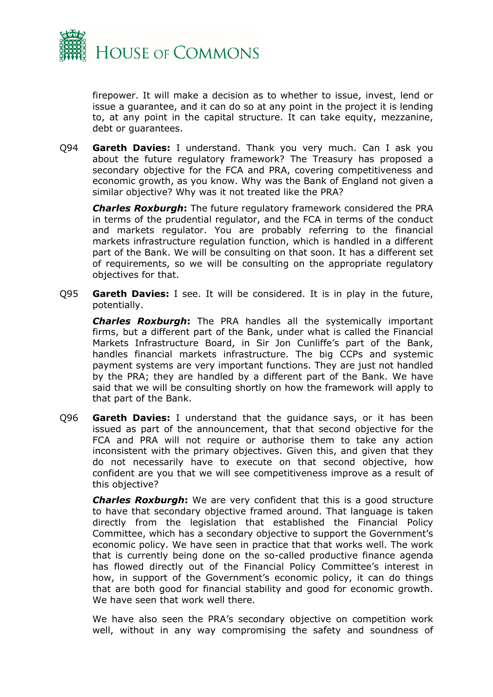

firepower. It will make a decision as to whether to issue, invest, lend or issue a guarantee, and it can do so at any point in the project it is lending to, at any point in the capital structure. It can take equity, mezzanine, debt or guarantees.

Q94 **Gareth Davies:** I understand. Thank you very much. Can I ask you about the future regulatory framework? The Treasury has proposed a secondary objective for the FCA and PRA, covering competitiveness and economic growth, as you know. Why was the Bank of England not given a similar objective? Why was it not treated like the PRA?

*Charles Roxburgh***:** The future regulatory framework considered the PRA in terms of the prudential regulator, and the FCA in terms of the conduct and markets regulator. You are probably referring to the financial markets infrastructure regulation function, which is handled in a different part of the Bank. We will be consulting on that soon. It has a different set of requirements, so we will be consulting on the appropriate regulatory objectives for that.

Q95 **Gareth Davies:** I see. It will be considered. It is in play in the future, potentially.

*Charles Roxburgh***:** The PRA handles all the systemically important firms, but a different part of the Bank, under what is called the Financial Markets Infrastructure Board, in Sir Jon Cunliffe's part of the Bank, handles financial markets infrastructure. The big CCPs and systemic payment systems are very important functions. They are just not handled by the PRA; they are handled by a different part of the Bank. We have said that we will be consulting shortly on how the framework will apply to that part of the Bank.

Q96 **Gareth Davies:** I understand that the guidance says, or it has been issued as part of the announcement, that that second objective for the FCA and PRA will not require or authorise them to take any action inconsistent with the primary objectives. Given this, and given that they do not necessarily have to execute on that second objective, how confident are you that we will see competitiveness improve as a result of this objective?

*Charles Roxburgh***:** We are very confident that this is a good structure to have that secondary objective framed around. That language is taken directly from the legislation that established the Financial Policy Committee, which has a secondary objective to support the Government's economic policy. We have seen in practice that that works well. The work that is currently being done on the so-called productive finance agenda has flowed directly out of the Financial Policy Committee's interest in how, in support of the Government's economic policy, it can do things that are both good for financial stability and good for economic growth. We have seen that work well there.

We have also seen the PRA's secondary objective on competition work well, without in any way compromising the safety and soundness of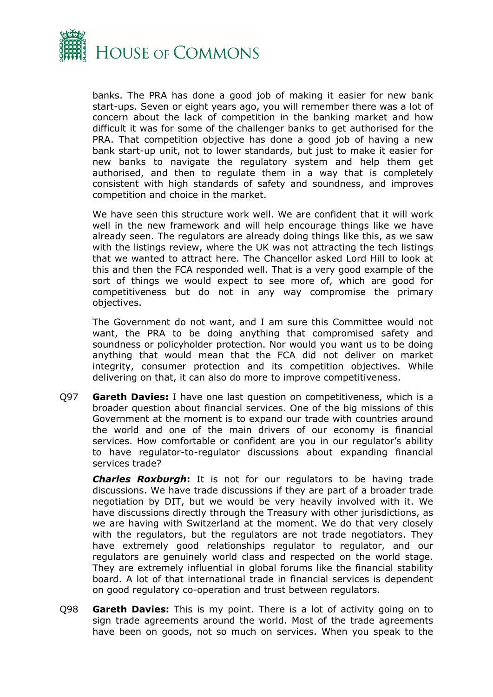

banks. The PRA has done a good job of making it easier for new bank start-ups. Seven or eight years ago, you will remember there was a lot of concern about the lack of competition in the banking market and how difficult it was for some of the challenger banks to get authorised for the PRA. That competition objective has done a good job of having a new bank start-up unit, not to lower standards, but just to make it easier for new banks to navigate the regulatory system and help them get authorised, and then to regulate them in a way that is completely consistent with high standards of safety and soundness, and improves competition and choice in the market.

We have seen this structure work well. We are confident that it will work well in the new framework and will help encourage things like we have already seen. The regulators are already doing things like this, as we saw with the listings review, where the UK was not attracting the tech listings that we wanted to attract here. The Chancellor asked Lord Hill to look at this and then the FCA responded well. That is a very good example of the sort of things we would expect to see more of, which are good for competitiveness but do not in any way compromise the primary objectives.

The Government do not want, and I am sure this Committee would not want, the PRA to be doing anything that compromised safety and soundness or policyholder protection. Nor would you want us to be doing anything that would mean that the FCA did not deliver on market integrity, consumer protection and its competition objectives. While delivering on that, it can also do more to improve competitiveness.

Q97 **Gareth Davies:** I have one last question on competitiveness, which is a broader question about financial services. One of the big missions of this Government at the moment is to expand our trade with countries around the world and one of the main drivers of our economy is financial services. How comfortable or confident are you in our regulator's ability to have regulator-to-regulator discussions about expanding financial services trade?

*Charles Roxburgh***:** It is not for our regulators to be having trade discussions. We have trade discussions if they are part of a broader trade negotiation by DIT, but we would be very heavily involved with it. We have discussions directly through the Treasury with other jurisdictions, as we are having with Switzerland at the moment. We do that very closely with the regulators, but the regulators are not trade negotiators. They have extremely good relationships regulator to regulator, and our regulators are genuinely world class and respected on the world stage. They are extremely influential in global forums like the financial stability board. A lot of that international trade in financial services is dependent on good regulatory co-operation and trust between regulators.

Q98 **Gareth Davies:** This is my point. There is a lot of activity going on to sign trade agreements around the world. Most of the trade agreements have been on goods, not so much on services. When you speak to the